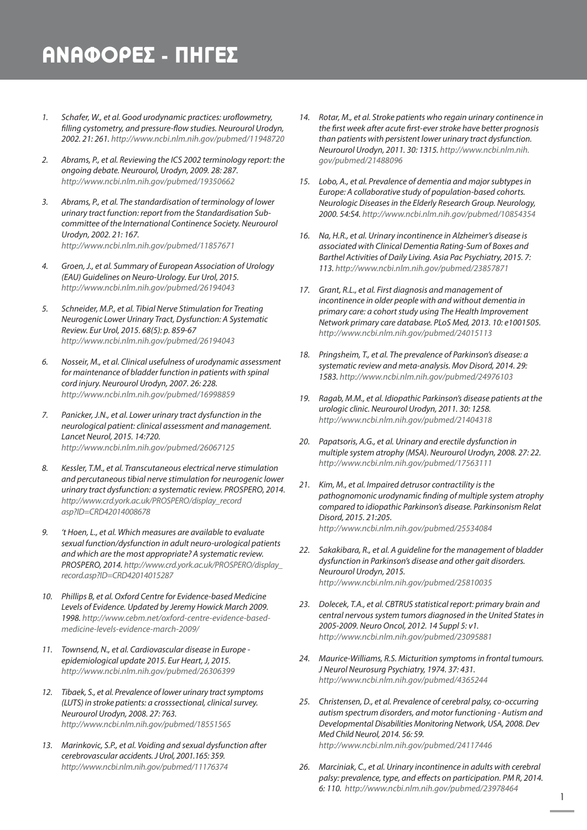## ΑΝΑΦΟΡΕΣ - ΠΗΓΕΣ

- *1. Schafer, W., et al. Good urodynamic practices: uroflowmetry, filling cystometry, and pressure-flow studies. Neurourol Urodyn, 2002. 21: 261. http://www.ncbi.nlm.nih.gov/pubmed/11948720*
- *2. Abrams, P., et al. Reviewing the ICS 2002 terminology report: the ongoing debate. Neurourol, Urodyn, 2009. 28: 287. http://www.ncbi.nlm.nih.gov/pubmed/19350662*
- *3. Abrams, P., et al. The standardisation of terminology of lower urinary tract function: report from the Standardisation Subcommittee of the International Continence Society. Neurourol Urodyn, 2002. 21: 167. http://www.ncbi.nlm.nih.gov/pubmed/11857671*
- *4. Groen, J., et al. Summary of European Association of Urology (EAU) Guidelines on Neuro-Urology. Eur Urol, 2015. http://www.ncbi.nlm.nih.gov/pubmed/26194043*
- *5. Schneider, M.P., et al. Tibial Nerve Stimulation for Treating Neurogenic Lower Urinary Tract, Dysfunction: A Systematic Review. Eur Urol, 2015. 68(5): p. 859-67 http://www.ncbi.nlm.nih.gov/pubmed/26194043*
- *6. Nosseir, M., et al. Clinical usefulness of urodynamic assessment for maintenance of bladder function in patients with spinal cord injury. Neurourol Urodyn, 2007. 26: 228. http://www.ncbi.nlm.nih.gov/pubmed/16998859*
- *7. Panicker, J.N., et al. Lower urinary tract dysfunction in the neurological patient: clinical assessment and management. Lancet Neurol, 2015. 14:720. http://www.ncbi.nlm.nih.gov/pubmed/26067125*
- *8. Kessler, T.M., et al. Transcutaneous electrical nerve stimulation and percutaneous tibial nerve stimulation for neurogenic lower urinary tract dysfunction: a systematic review. PROSPERO, 2014. http://www.crd.york.ac.uk/PROSPERO/display\_record asp?ID=CRD42014008678*
- *9. 't Hoen, L., et al. Which measures are available to evaluate sexual function/dysfunction in adult neuro-urological patients and which are the most appropriate? A systematic review. PROSPERO, 2014. http://www.crd.york.ac.uk/PROSPERO/display\_ record.asp?ID=CRD42014015287*
- *10. Phillips B, et al. Oxford Centre for Evidence-based Medicine Levels of Evidence. Updated by Jeremy Howick March 2009. 1998. http://www.cebm.net/oxford-centre-evidence-basedmedicine-levels-evidence-march-2009/*
- *11. Townsend, N., et al. Cardiovascular disease in Europe epidemiological update 2015. Eur Heart, J, 2015. http://www.ncbi.nlm.nih.gov/pubmed/26306399*
- *12. Tibaek, S., et al. Prevalence of lower urinary tract symptoms (LUTS) in stroke patients: a crosssectional, clinical survey. Neurourol Urodyn, 2008. 27: 763. http://www.ncbi.nlm.nih.gov/pubmed/18551565*
- *13. Marinkovic, S.P., et al. Voiding and sexual dysfunction after cerebrovascular accidents. J Urol, 2001.165: 359. http://www.ncbi.nlm.nih.gov/pubmed/11176374*
- *14. Rotar, M., et al. Stroke patients who regain urinary continence in the first week after acute first-ever stroke have better prognosis than patients with persistent lower urinary tract dysfunction. Neurourol Urodyn, 2011. 30: 1315. http://www.ncbi.nlm.nih. gov/pubmed/21488096*
- *15. Lobo, A., et al. Prevalence of dementia and major subtypes in Europe: A collaborative study of population-based cohorts. Neurologic Diseases in the Elderly Research Group. Neurology, 2000. 54:S4. http://www.ncbi.nlm.nih.gov/pubmed/10854354*
- *16. Na, H.R., et al. Urinary incontinence in Alzheimer's disease is associated with Clinical Dementia Rating-Sum of Boxes and Barthel Activities of Daily Living. Asia Pac Psychiatry, 2015. 7: 113. http://www.ncbi.nlm.nih.gov/pubmed/23857871*
- *17. Grant, R.L., et al. First diagnosis and management of incontinence in older people with and without dementia in primary care: a cohort study using The Health Improvement Network primary care database. PLoS Med, 2013. 10: e1001505. http://www.ncbi.nlm.nih.gov/pubmed/24015113*
- *18. Pringsheim, T., et al. The prevalence of Parkinson's disease: a systematic review and meta-analysis. Mov Disord, 2014. 29: 1583. http://www.ncbi.nlm.nih.gov/pubmed/24976103*
- *19. Ragab, M.M., et al. Idiopathic Parkinson's disease patients at the urologic clinic. Neurourol Urodyn, 2011. 30: 1258. http://www.ncbi.nlm.nih.gov/pubmed/21404318*
- *20. Papatsoris, A.G., et al. Urinary and erectile dysfunction in multiple system atrophy (MSA). Neurourol Urodyn, 2008. 27: 22. http://www.ncbi.nlm.nih.gov/pubmed/17563111*
- *21. Kim, M., et al. Impaired detrusor contractility is the pathognomonic urodynamic finding of multiple system atrophy compared to idiopathic Parkinson's disease. Parkinsonism Relat Disord, 2015. 21:205. http://www.ncbi.nlm.nih.gov/pubmed/25534084*
- *22. Sakakibara, R., et al. A guideline for the management of bladder dysfunction in Parkinson's disease and other gait disorders. Neurourol Urodyn, 2015. http://www.ncbi.nlm.nih.gov/pubmed/25810035*
- *23. Dolecek, T.A., et al. CBTRUS statistical report: primary brain and central nervous system tumors diagnosed in the United States in 2005-2009. Neuro Oncol, 2012. 14 Suppl 5: v1. http://www.ncbi.nlm.nih.gov/pubmed/23095881*
- *24. Maurice-Williams, R.S. Micturition symptoms in frontal tumours. J Neurol Neurosurg Psychiatry, 1974. 37: 431. http://www.ncbi.nlm.nih.gov/pubmed/4365244*
- *25. Christensen, D., et al. Prevalence of cerebral palsy, co-occurring autism spectrum disorders, and motor functioning - Autism and Developmental Disabilities Monitoring Network, USA, 2008. Dev Med Child Neurol, 2014. 56: 59. http://www.ncbi.nlm.nih.gov/pubmed/24117446*
- *26. Marciniak, C., et al. Urinary incontinence in adults with cerebral palsy: prevalence, type, and effects on participation. PM R, 2014. 6: 110. http://www.ncbi.nlm.nih.gov/pubmed/23978464*

1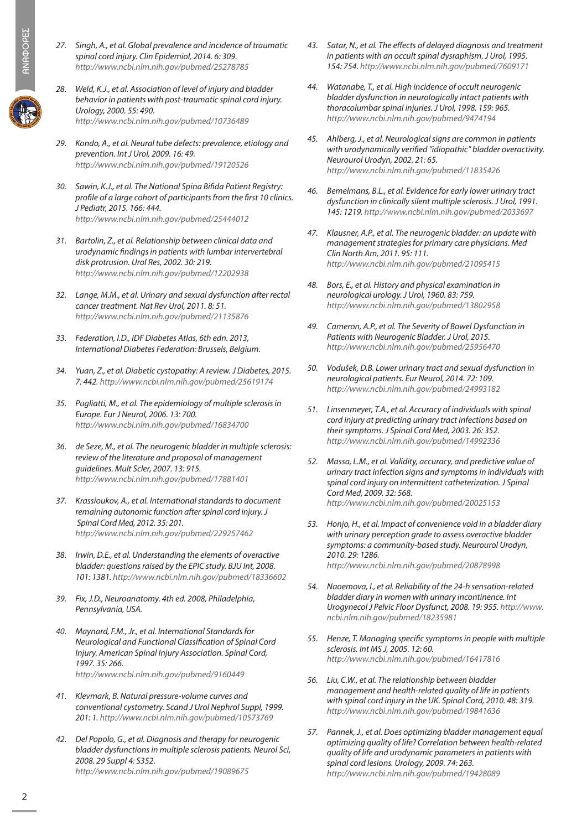- *27. Singh, A., et al. Global prevalence and incidence of traumatic spinal cord injury. Clin Epidemiol, 2014. 6: 309. http://www.ncbi.nlm.nih.gov/pubmed/25278785*
- *28. Weld, K.J., et al. Association of level of injury and bladder behavior in patients with post-traumatic spinal cord injury. Urology, 2000. 55: 490. http://www.ncbi.nlm.nih.gov/pubmed/10736489*
- *29. Kondo, A., et al. Neural tube defects: prevalence, etiology and prevention. Int J Urol, 2009. 16: 49. http://www.ncbi.nlm.nih.gov/pubmed/19120526*
- *30. Sawin, K.J., et al. The National Spina Bifida Patient Registry: profile of a large cohort of participants from the first 10 clinics. J Pediatr, 2015. 166: 444. http://www.ncbi.nlm.nih.gov/pubmed/25444012*
- *31. Bartolin, Z., et al. Relationship between clinical data and urodynamic findings in patients with lumbar intervertebral disk protrusion. Urol Res, 2002. 30: 219. http://www.ncbi.nlm.nih.gov/pubmed/12202938*
- *32. Lange, M.M., et al. Urinary and sexual dysfunction after rectal cancer treatment. Nat Rev Urol, 2011. 8: 51. http://www.ncbi.nlm.nih.gov/pubmed/21135876*
- *33. Federation, I.D., IDF Diabetes Atlas, 6th edn. 2013, International Diabetes Federation: Brussels, Belgium.*
- *34. Yuan, Z., et al. Diabetic cystopathy: A review. J Diabetes, 2015. 7: 442. http://www.ncbi.nlm.nih.gov/pubmed/25619174*
- *35. Pugliatti, M., et al. The epidemiology of multiple sclerosis in Europe. Eur J Neurol, 2006. 13: 700. http://www.ncbi.nlm.nih.gov/pubmed/16834700*
- *36. de Seze, M., et al. The neurogenic bladder in multiple sclerosis: review of the literature and proposal of management guidelines. Mult Scler, 2007. 13: 915. http://www.ncbi.nlm.nih.gov/pubmed/17881401*
- *37. Krassioukov, A., et al. International standards to document remaining autonomic function after spinal cord injury. J Spinal Cord Med, 2012. 35: 201. http://www.ncbi.nlm.nih.gov/pubmed/229257462*
- *38. Irwin, D.E., et al. Understanding the elements of overactive bladder: questions raised by the EPIC study. BJU Int, 2008. 101: 1381. http://www.ncbi.nlm.nih.gov/pubmed/18336602*
- *39. Fix, J.D., Neuroanatomy. 4th ed. 2008, Philadelphia, Pennsylvania, USA.*
- *40. Maynard, F.M., Jr., et al. International Standards for Neurological and Functional Classification of Spinal Cord Injury. American Spinal Injury Association. Spinal Cord, 1997. 35: 266. http://www.ncbi.nlm.nih.gov/pubmed/9160449*
- *41. Klevmark, B. Natural pressure-volume curves and conventional cystometry. Scand J Urol Nephrol Suppl, 1999. 201: 1. http://www.ncbi.nlm.nih.gov/pubmed/10573769*
- *42. Del Popolo, G., et al. Diagnosis and therapy for neurogenic bladder dysfunctions in multiple sclerosis patients. Neurol Sci, 2008. 29 Suppl 4: S352. http://www.ncbi.nlm.nih.gov/pubmed/19089675*
- *43. Satar, N., et al. The effects of delayed diagnosis and treatment in patients with an occult spinal dysraphism. J Urol, 1995. 154: 754. http://www.ncbi.nlm.nih.gov/pubmed/7609171*
- *44. Watanabe, T., et al. High incidence of occult neurogenic bladder dysfunction in neurologically intact patients with thoracolumbar spinal injuries. J Urol, 1998. 159: 965. http://www.ncbi.nlm.nih.gov/pubmed/9474194*
- *45. Ahlberg, J., et al. Neurological signs are common in patients with urodynamically verified "idiopathic" bladder overactivity. Neurourol Urodyn, 2002. 21: 65. http://www.ncbi.nlm.nih.gov/pubmed/11835426*
- *46. Bemelmans, B.L., et al. Evidence for early lower urinary tract dysfunction in clinically silent multiple sclerosis. J Urol, 1991. 145: 1219. http://www.ncbi.nlm.nih.gov/pubmed/2033697*
- *47. Klausner, A.P., et al. The neurogenic bladder: an update with management strategies for primary care physicians. Med Clin North Am, 2011. 95: 111. http://www.ncbi.nlm.nih.gov/pubmed/21095415*
- *48. Bors, E., et al. History and physical examination in neurological urology. J Urol, 1960. 83: 759. http://www.ncbi.nlm.nih.gov/pubmed/13802958*
- *49. Cameron, A.P., et al. The Severity of Bowel Dysfunction in Patients with Neurogenic Bladder. J Urol, 2015. http://www.ncbi.nlm.nih.gov/pubmed/25956470*
- *50. Vodušek, D.B. Lower urinary tract and sexual dysfunction in neurological patients. Eur Neurol, 2014. 72: 109. http://www.ncbi.nlm.nih.gov/pubmed/24993182*
- *51. Linsenmeyer, T.A., et al. Accuracy of individuals with spinal cord injury at predicting urinary tract infections based on their symptoms. J Spinal Cord Med, 2003. 26: 352. http://www.ncbi.nlm.nih.gov/pubmed/14992336*
- *52. Massa, L.M., et al. Validity, accuracy, and predictive value of urinary tract infection signs and symptoms in individuals with spinal cord injury on intermittent catheterization. J Spinal Cord Med, 2009. 32: 568. http://www.ncbi.nlm.nih.gov/pubmed/20025153*
- *53. Honjo, H., et al. Impact of convenience void in a bladder diary with urinary perception grade to assess overactive bladder symptoms: a community-based study. Neurourol Urodyn, 2010. 29: 1286. http://www.ncbi.nlm.nih.gov/pubmed/20878998*
- *54. Naoemova, I., et al. Reliability of the 24-h sensation-related bladder diary in women with urinary incontinence. Int Urogynecol J Pelvic Floor Dysfunct, 2008. 19: 955. http://www. ncbi.nlm.nih.gov/pubmed/18235981*
- *55. Henze, T. Managing specific symptoms in people with multiple sclerosis. Int MS J, 2005. 12: 60. http://www.ncbi.nlm.nih.gov/pubmed/16417816*
- *56. Liu, C.W., et al. The relationship between bladder management and health-related quality of life in patients with spinal cord injury in the UK. Spinal Cord, 2010. 48: 319. http://www.ncbi.nlm.nih.gov/pubmed/19841636*
- *57. Pannek, J., et al. Does optimizing bladder management equal optimizing quality of life? Correlation between health-related quality of life and urodynamic parameters in patients with spinal cord lesions. Urology, 2009. 74: 263. http://www.ncbi.nlm.nih.gov/pubmed/19428089*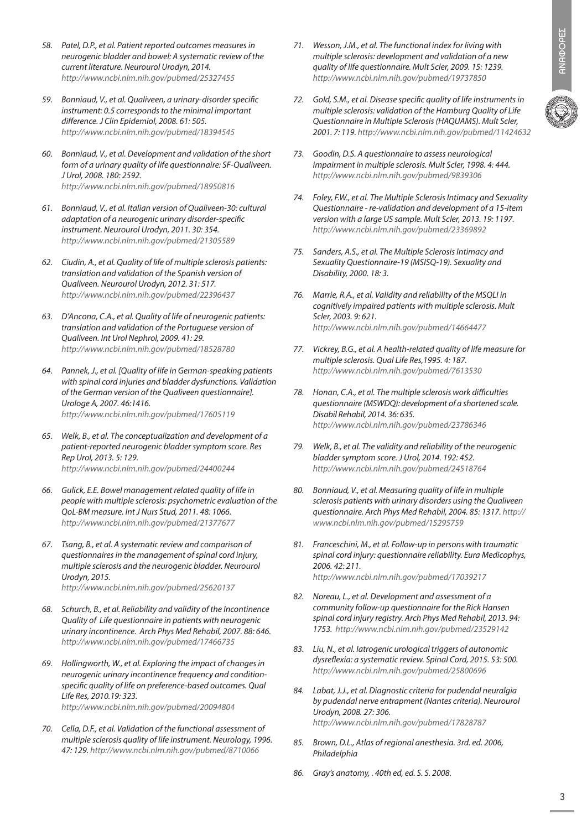- *58. Patel, D.P., et al. Patient reported outcomes measures in neurogenic bladder and bowel: A systematic review of the current literature. Neurourol Urodyn, 2014. http://www.ncbi.nlm.nih.gov/pubmed/25327455*
- *59. Bonniaud, V., et al. Qualiveen, a urinary-disorder specific instrument: 0.5 corresponds to the minimal important difference. J Clin Epidemiol, 2008. 61: 505. http://www.ncbi.nlm.nih.gov/pubmed/18394545*
- *60. Bonniaud, V., et al. Development and validation of the short form of a urinary quality of life questionnaire: SF-Qualiveen. J Urol, 2008. 180: 2592. http://www.ncbi.nlm.nih.gov/pubmed/18950816*
- *61. Bonniaud, V., et al. Italian version of Qualiveen-30: cultural adaptation of a neurogenic urinary disorder-specific instrument. Neurourol Urodyn, 2011. 30: 354. http://www.ncbi.nlm.nih.gov/pubmed/21305589*
- *62. Ciudin, A., et al. Quality of life of multiple sclerosis patients: translation and validation of the Spanish version of Qualiveen. Neurourol Urodyn, 2012. 31: 517. http://www.ncbi.nlm.nih.gov/pubmed/22396437*
- *63. D'Ancona, C.A., et al. Quality of life of neurogenic patients: translation and validation of the Portuguese version of Qualiveen. Int Urol Nephrol, 2009. 41: 29. http://www.ncbi.nlm.nih.gov/pubmed/18528780*
- *64. Pannek, J., et al. [Quality of life in German-speaking patients with spinal cord injuries and bladder dysfunctions. Validation of the German version of the Qualiveen questionnaire]. Urologe A, 2007. 46:1416. http://www.ncbi.nlm.nih.gov/pubmed/17605119*
- *65. Welk, B., et al. The conceptualization and development of a patient-reported neurogenic bladder symptom score. Res Rep Urol, 2013. 5: 129. http://www.ncbi.nlm.nih.gov/pubmed/24400244*
- *66. Gulick, E.E. Bowel management related quality of life in people with multiple sclerosis: psychometric evaluation of the QoL-BM measure. Int J Nurs Stud, 2011. 48: 1066. http://www.ncbi.nlm.nih.gov/pubmed/21377677*
- *67. Tsang, B., et al. A systematic review and comparison of questionnaires in the management of spinal cord injury, multiple sclerosis and the neurogenic bladder. Neurourol Urodyn, 2015. http://www.ncbi.nlm.nih.gov/pubmed/25620137*
	-
- *68. Schurch, B., et al. Reliability and validity of the Incontinence Quality of Life questionnaire in patients with neurogenic urinary incontinence. Arch Phys Med Rehabil, 2007. 88: 646. http://www.ncbi.nlm.nih.gov/pubmed/17466735*
- *69. Hollingworth, W., et al. Exploring the impact of changes in neurogenic urinary incontinence frequency and conditionspecific quality of life on preference-based outcomes. Qual Life Res, 2010.19: 323. http://www.ncbi.nlm.nih.gov/pubmed/20094804*
- *70. Cella, D.F., et al. Validation of the functional assessment of multiple sclerosis quality of life instrument. Neurology, 1996. 47: 129. http://www.ncbi.nlm.nih.gov/pubmed/8710066*
- *71. Wesson, J.M., et al. The functional index for living with multiple sclerosis: development and validation of a new quality of life questionnaire. Mult Scler, 2009. 15: 1239. http://www.ncbi.nlm.nih.gov/pubmed/19737850*
- *72. Gold, S.M., et al. Disease specific quality of life instruments in multiple sclerosis: validation of the Hamburg Quality of Life Questionnaire in Multiple Sclerosis (HAQUAMS). Mult Scler, 2001. 7: 119. http://www.ncbi.nlm.nih.gov/pubmed/11424632*
- *73. Goodin, D.S. A questionnaire to assess neurological impairment in multiple sclerosis. Mult Scler, 1998. 4: 444. http://www.ncbi.nlm.nih.gov/pubmed/9839306*
- *74. Foley, F.W., et al. The Multiple Sclerosis Intimacy and Sexuality Questionnaire - re-validation and development of a 15-item version with a large US sample. Mult Scler, 2013. 19: 1197. http://www.ncbi.nlm.nih.gov/pubmed/23369892*
- *75. Sanders, A.S., et al. The Multiple Sclerosis Intimacy and Sexuality Questionnaire-19 (MSISQ-19). Sexuality and Disability, 2000. 18: 3.*
- *76. Marrie, R.A., et al. Validity and reliability of the MSQLI in cognitively impaired patients with multiple sclerosis. Mult Scler, 2003. 9: 621. http://www.ncbi.nlm.nih.gov/pubmed/14664477*
- *77. Vickrey, B.G., et al. A health-related quality of life measure for multiple sclerosis. Qual Life Res,1995. 4: 187. http://www.ncbi.nlm.nih.gov/pubmed/7613530*
- *78. Honan, C.A., et al. The multiple sclerosis work difficulties questionnaire (MSWDQ): development of a shortened scale. Disabil Rehabil, 2014. 36: 635. http://www.ncbi.nlm.nih.gov/pubmed/23786346*
- *79. Welk, B., et al. The validity and reliability of the neurogenic bladder symptom score. J Urol, 2014. 192: 452. http://www.ncbi.nlm.nih.gov/pubmed/24518764*
- *80. Bonniaud, V., et al. Measuring quality of life in multiple sclerosis patients with urinary disorders using the Qualiveen questionnaire. Arch Phys Med Rehabil, 2004. 85: 1317. http:// www.ncbi.nlm.nih.gov/pubmed/15295759*
- *81. Franceschini, M., et al. Follow-up in persons with traumatic spinal cord injury: questionnaire reliability. Eura Medicophys, 2006. 42: 211. http://www.ncbi.nlm.nih.gov/pubmed/17039217*
- *82. Noreau, L., et al. Development and assessment of a community follow-up questionnaire for the Rick Hansen spinal cord injury registry. Arch Phys Med Rehabil, 2013. 94: 1753. http://www.ncbi.nlm.nih.gov/pubmed/23529142*
- *83. Liu, N., et al. Iatrogenic urological triggers of autonomic dysreflexia: a systematic review. Spinal Cord, 2015. 53: 500. http://www.ncbi.nlm.nih.gov/pubmed/25800696*
- *84. Labat, J.J., et al. Diagnostic criteria for pudendal neuralgia by pudendal nerve entrapment (Nantes criteria). Neurourol Urodyn, 2008. 27: 306. http://www.ncbi.nlm.nih.gov/pubmed/17828787*
- *85. Brown, D.L., Atlas of regional anesthesia. 3rd. ed. 2006, Philadelphia*
- *86. Gray's anatomy, . 40th ed, ed. S. S. 2008.*

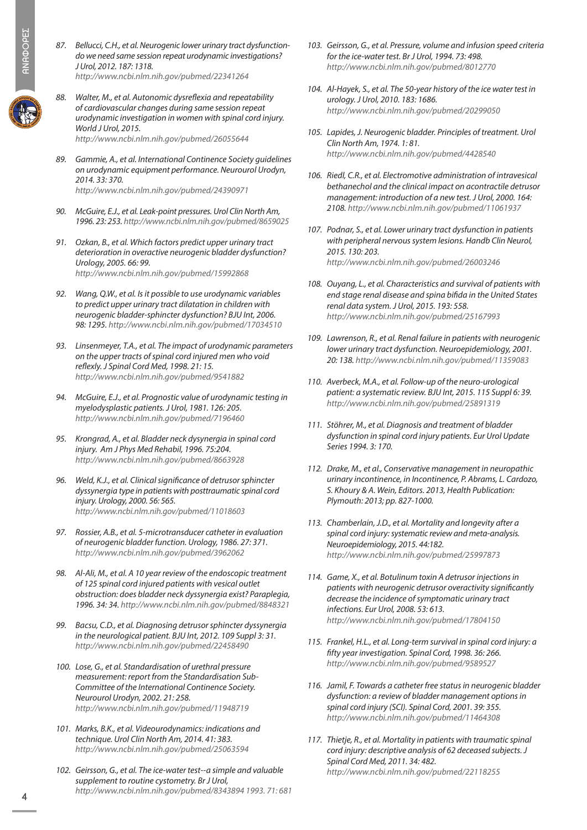- **ANAOOPEE** ΑΝΑΦΟΡΕΣ
- 
- *87. Bellucci, C.H., et al. Neurogenic lower urinary tract dysfunctiondo we need same session repeat urodynamic investigations? J Urol, 2012. 187: 1318. http://www.ncbi.nlm.nih.gov/pubmed/22341264*
- *88. Walter, M., et al. Autonomic dysreflexia and repeatability of cardiovascular changes during same session repeat urodynamic investigation in women with spinal cord injury. World J Urol, 2015. http://www.ncbi.nlm.nih.gov/pubmed/26055644*
- *89. Gammie, A., et al. International Continence Society guidelines on urodynamic equipment performance. Neurourol Urodyn, 2014. 33: 370. http://www.ncbi.nlm.nih.gov/pubmed/24390971*
- *90. McGuire, E.J., et al. Leak-point pressures. Urol Clin North Am, 1996. 23: 253. http://www.ncbi.nlm.nih.gov/pubmed/8659025*
- *91. Ozkan, B., et al. Which factors predict upper urinary tract deterioration in overactive neurogenic bladder dysfunction? Urology, 2005. 66: 99. http://www.ncbi.nlm.nih.gov/pubmed/15992868*
- *92. Wang, Q.W., et al. Is it possible to use urodynamic variables to predict upper urinary tract dilatation in children with neurogenic bladder-sphincter dysfunction? BJU Int, 2006. 98: 1295. http://www.ncbi.nlm.nih.gov/pubmed/17034510*
- *93. Linsenmeyer, T.A., et al. The impact of urodynamic parameters on the upper tracts of spinal cord injured men who void reflexly. J Spinal Cord Med, 1998. 21: 15. http://www.ncbi.nlm.nih.gov/pubmed/9541882*
- *94. McGuire, E.J., et al. Prognostic value of urodynamic testing in myelodysplastic patients. J Urol, 1981. 126: 205. http://www.ncbi.nlm.nih.gov/pubmed/7196460*
- *95. Krongrad, A., et al. Bladder neck dysynergia in spinal cord injury. Am J Phys Med Rehabil, 1996. 75:204. http://www.ncbi.nlm.nih.gov/pubmed/8663928*
- *96. Weld, K.J., et al. Clinical significance of detrusor sphincter dyssynergia type in patients with posttraumatic spinal cord injury. Urology, 2000. 56: 565. http://www.ncbi.nlm.nih.gov/pubmed/11018603*
- *97. Rossier, A.B., et al. 5-microtransducer catheter in evaluation of neurogenic bladder function. Urology, 1986. 27: 371. http://www.ncbi.nlm.nih.gov/pubmed/3962062*
- *98. Al-Ali, M., et al. A 10 year review of the endoscopic treatment of 125 spinal cord injured patients with vesical outlet obstruction: does bladder neck dyssynergia exist? Paraplegia, 1996. 34: 34. http://www.ncbi.nlm.nih.gov/pubmed/8848321*
- *99. Bacsu, C.D., et al. Diagnosing detrusor sphincter dyssynergia in the neurological patient. BJU Int, 2012. 109 Suppl 3: 31. http://www.ncbi.nlm.nih.gov/pubmed/22458490*
- *100. Lose, G., et al. Standardisation of urethral pressure measurement: report from the Standardisation Sub-Committee of the International Continence Society. Neurourol Urodyn, 2002. 21: 258. http://www.ncbi.nlm.nih.gov/pubmed/11948719*
- *101. Marks, B.K., et al. Videourodynamics: indications and technique. Urol Clin North Am, 2014. 41: 383. http://www.ncbi.nlm.nih.gov/pubmed/25063594*
- *102. Geirsson, G., et al. The ice-water test--a simple and valuable supplement to routine cystometry. Br J Urol, http://www.ncbi.nlm.nih.gov/pubmed/8343894 1993. 71: 681*
- *103. Geirsson, G., et al. Pressure, volume and infusion speed criteria for the ice-water test. Br J Urol, 1994. 73: 498. http://www.ncbi.nlm.nih.gov/pubmed/8012770*
- *104. Al-Hayek, S., et al. The 50-year history of the ice water test in urology. J Urol, 2010. 183: 1686. http://www.ncbi.nlm.nih.gov/pubmed/20299050*
- *105. Lapides, J. Neurogenic bladder. Principles of treatment. Urol Clin North Am, 1974. 1: 81. http://www.ncbi.nlm.nih.gov/pubmed/4428540*
- *106. Riedl, C.R., et al. Electromotive administration of intravesical bethanechol and the clinical impact on acontractile detrusor management: introduction of a new test. J Urol, 2000. 164: 2108. http://www.ncbi.nlm.nih.gov/pubmed/11061937*
- *107. Podnar, S., et al. Lower urinary tract dysfunction in patients with peripheral nervous system lesions. Handb Clin Neurol, 2015. 130: 203. http://www.ncbi.nlm.nih.gov/pubmed/26003246*
- *108. Ouyang, L., et al. Characteristics and survival of patients with end stage renal disease and spina bifida in the United States renal data system. J Urol, 2015. 193: 558. http://www.ncbi.nlm.nih.gov/pubmed/25167993*
- *109. Lawrenson, R., et al. Renal failure in patients with neurogenic lower urinary tract dysfunction. Neuroepidemiology, 2001. 20: 138. http://www.ncbi.nlm.nih.gov/pubmed/11359083*
- *110. Averbeck, M.A., et al. Follow-up of the neuro-urological patient: a systematic review. BJU Int, 2015. 115 Suppl 6: 39. http://www.ncbi.nlm.nih.gov/pubmed/25891319*
- *111. Stöhrer, M., et al. Diagnosis and treatment of bladder dysfunction in spinal cord injury patients. Eur Urol Update Series 1994. 3: 170.*
- *112. Drake, M., et al., Conservative management in neuropathic urinary incontinence, in Incontinence, P. Abrams, L. Cardozo, S. Khoury & A. Wein, Editors. 2013, Health Publication: Plymouth: 2013; pp. 827-1000.*
- *113. Chamberlain, J.D., et al. Mortality and longevity after a spinal cord injury: systematic review and meta-analysis. Neuroepidemiology, 2015. 44:182. http://www.ncbi.nlm.nih.gov/pubmed/25997873*
- *114. Game, X., et al. Botulinum toxin A detrusor injections in patients with neurogenic detrusor overactivity significantly decrease the incidence of symptomatic urinary tract infections. Eur Urol, 2008. 53: 613. http://www.ncbi.nlm.nih.gov/pubmed/17804150*
- *115. Frankel, H.L., et al. Long-term survival in spinal cord injury: a fifty year investigation. Spinal Cord, 1998. 36: 266. http://www.ncbi.nlm.nih.gov/pubmed/9589527*
- *116. Jamil, F. Towards a catheter free status in neurogenic bladder dysfunction: a review of bladder management options in spinal cord injury (SCI). Spinal Cord, 2001. 39: 355. http://www.ncbi.nlm.nih.gov/pubmed/11464308*
- *117. Thietje, R., et al. Mortality in patients with traumatic spinal cord injury: descriptive analysis of 62 deceased subjects. J Spinal Cord Med, 2011. 34: 482. http://www.ncbi.nlm.nih.gov/pubmed/22118255*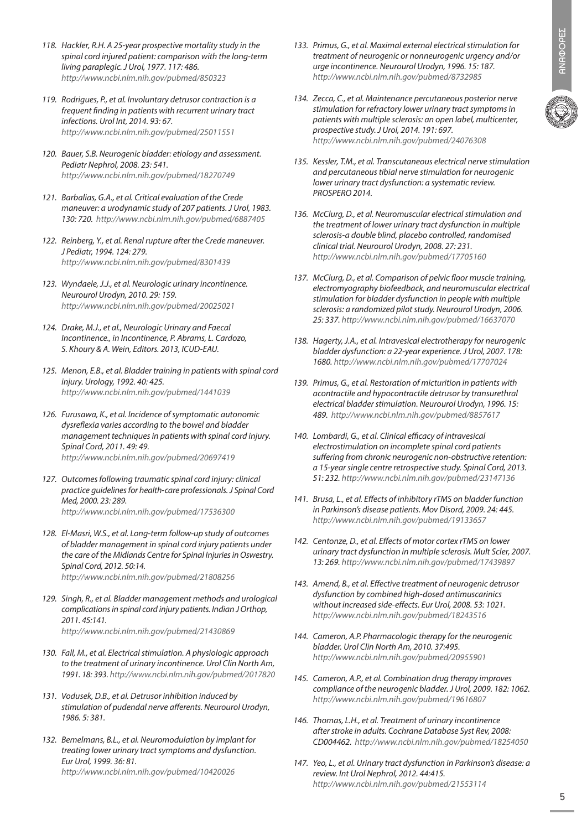- *118. Hackler, R.H. A 25-year prospective mortality study in the spinal cord injured patient: comparison with the long-term living paraplegic. J Urol, 1977. 117: 486. http://www.ncbi.nlm.nih.gov/pubmed/850323*
- *119. Rodrigues, P., et al. Involuntary detrusor contraction is a frequent finding in patients with recurrent urinary tract infections. Urol Int, 2014. 93: 67. http://www.ncbi.nlm.nih.gov/pubmed/25011551*
- *120. Bauer, S.B. Neurogenic bladder: etiology and assessment. Pediatr Nephrol, 2008. 23: 541. http://www.ncbi.nlm.nih.gov/pubmed/18270749*
- *121. Barbalias, G.A., et al. Critical evaluation of the Crede maneuver: a urodynamic study of 207 patients. J Urol, 1983. 130: 720. http://www.ncbi.nlm.nih.gov/pubmed/6887405*
- *122. Reinberg, Y., et al. Renal rupture after the Crede maneuver. J Pediatr, 1994. 124: 279. http://www.ncbi.nlm.nih.gov/pubmed/8301439*
- *123. Wyndaele, J.J., et al. Neurologic urinary incontinence. Neurourol Urodyn, 2010. 29: 159. http://www.ncbi.nlm.nih.gov/pubmed/20025021*
- *124. Drake, M.J., et al., Neurologic Urinary and Faecal Incontinence., in Incontinence, P. Abrams, L. Cardozo, S. Khoury & A. Wein, Editors. 2013, ICUD-EAU.*
- *125. Menon, E.B., et al. Bladder training in patients with spinal cord injury. Urology, 1992. 40: 425. http://www.ncbi.nlm.nih.gov/pubmed/1441039*
- *126. Furusawa, K., et al. Incidence of symptomatic autonomic dysreflexia varies according to the bowel and bladder management techniques in patients with spinal cord injury. Spinal Cord, 2011. 49: 49. http://www.ncbi.nlm.nih.gov/pubmed/20697419*
- *127. Outcomes following traumatic spinal cord injury: clinical practice guidelines for health-care professionals. J Spinal Cord Med, 2000. 23: 289. http://www.ncbi.nlm.nih.gov/pubmed/17536300*
- *128. El-Masri, W.S., et al. Long-term follow-up study of outcomes of bladder management in spinal cord injury patients under the care of the Midlands Centre for Spinal Injuries in Oswestry. Spinal Cord, 2012. 50:14. http://www.ncbi.nlm.nih.gov/pubmed/21808256*
- *129. Singh, R., et al. Bladder management methods and urological complications in spinal cord injury patients. Indian J Orthop, 2011. 45:141. http://www.ncbi.nlm.nih.gov/pubmed/21430869*
- *130. Fall, M., et al. Electrical stimulation. A physiologic approach to the treatment of urinary incontinence. Urol Clin North Am, 1991. 18: 393. http://www.ncbi.nlm.nih.gov/pubmed/2017820*
- *131. Vodusek, D.B., et al. Detrusor inhibition induced by stimulation of pudendal nerve afferents. Neurourol Urodyn, 1986. 5: 381.*
- *132. Bemelmans, B.L., et al. Neuromodulation by implant for treating lower urinary tract symptoms and dysfunction. Eur Urol, 1999. 36: 81. http://www.ncbi.nlm.nih.gov/pubmed/10420026*
- *133. Primus, G., et al. Maximal external electrical stimulation for treatment of neurogenic or nonneurogenic urgency and/or urge incontinence. Neurourol Urodyn, 1996. 15: 187. http://www.ncbi.nlm.nih.gov/pubmed/8732985*
- *134. Zecca, C., et al. Maintenance percutaneous posterior nerve stimulation for refractory lower urinary tract symptoms in patients with multiple sclerosis: an open label, multicenter, prospective study. J Urol, 2014. 191: 697. http://www.ncbi.nlm.nih.gov/pubmed/24076308*



- *135. Kessler, T.M., et al. Transcutaneous electrical nerve stimulation and percutaneous tibial nerve stimulation for neurogenic lower urinary tract dysfunction: a systematic review. PROSPERO 2014.*
- *136. McClurg, D., et al. Neuromuscular electrical stimulation and the treatment of lower urinary tract dysfunction in multiple sclerosis-a double blind, placebo controlled, randomised clinical trial. Neurourol Urodyn, 2008. 27: 231. http://www.ncbi.nlm.nih.gov/pubmed/17705160*
- *137. McClurg, D., et al. Comparison of pelvic floor muscle training, electromyography biofeedback, and neuromuscular electrical stimulation for bladder dysfunction in people with multiple sclerosis: a randomized pilot study. Neurourol Urodyn, 2006. 25: 337. http://www.ncbi.nlm.nih.gov/pubmed/16637070*
- *138. Hagerty, J.A., et al. Intravesical electrotherapy for neurogenic bladder dysfunction: a 22-year experience. J Urol, 2007. 178: 1680. http://www.ncbi.nlm.nih.gov/pubmed/17707024*
- *139. Primus, G., et al. Restoration of micturition in patients with acontractile and hypocontractile detrusor by transurethral electrical bladder stimulation. Neurourol Urodyn, 1996. 15: 489. http://www.ncbi.nlm.nih.gov/pubmed/8857617*
- *140. Lombardi, G., et al. Clinical efficacy of intravesical electrostimulation on incomplete spinal cord patients suffering from chronic neurogenic non-obstructive retention: a 15-year single centre retrospective study. Spinal Cord, 2013. 51: 232. http://www.ncbi.nlm.nih.gov/pubmed/23147136*
- *141. Brusa, L., et al. Effects of inhibitory rTMS on bladder function in Parkinson's disease patients. Mov Disord, 2009. 24: 445. http://www.ncbi.nlm.nih.gov/pubmed/19133657*
- *142. Centonze, D., et al. Effects of motor cortex rTMS on lower urinary tract dysfunction in multiple sclerosis. Mult Scler, 2007. 13: 269. http://www.ncbi.nlm.nih.gov/pubmed/17439897*
- *143. Amend, B., et al. Effective treatment of neurogenic detrusor dysfunction by combined high-dosed antimuscarinics without increased side-effects. Eur Urol, 2008. 53: 1021. http://www.ncbi.nlm.nih.gov/pubmed/18243516*
- *144. Cameron, A.P. Pharmacologic therapy for the neurogenic bladder. Urol Clin North Am, 2010. 37:495. http://www.ncbi.nlm.nih.gov/pubmed/20955901*
- *145. Cameron, A.P., et al. Combination drug therapy improves compliance of the neurogenic bladder. J Urol, 2009. 182: 1062. http://www.ncbi.nlm.nih.gov/pubmed/19616807*
- *146. Thomas, L.H., et al. Treatment of urinary incontinence after stroke in adults. Cochrane Database Syst Rev, 2008: CD004462. http://www.ncbi.nlm.nih.gov/pubmed/18254050*
- *147. Yeo, L., et al. Urinary tract dysfunction in Parkinson's disease: a review. Int Urol Nephrol, 2012. 44:415. http://www.ncbi.nlm.nih.gov/pubmed/21553114*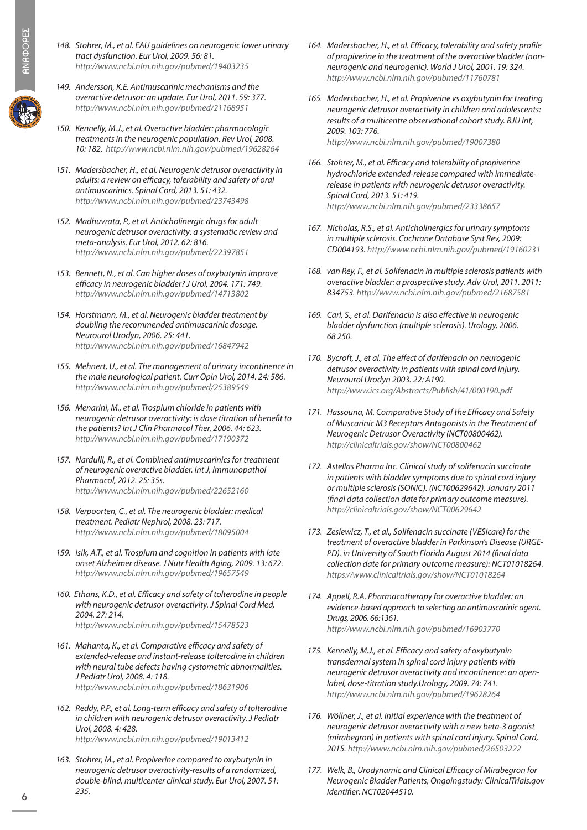- *148. Stohrer, M., et al. EAU guidelines on neurogenic lower urinary tract dysfunction. Eur Urol, 2009. 56: 81. http://www.ncbi.nlm.nih.gov/pubmed/19403235*
- *149. Andersson, K.E. Antimuscarinic mechanisms and the overactive detrusor: an update. Eur Urol, 2011. 59: 377. http://www.ncbi.nlm.nih.gov/pubmed/21168951*
- *150. Kennelly, M.J., et al. Overactive bladder: pharmacologic treatments in the neurogenic population. Rev Urol, 2008. 10: 182. http://www.ncbi.nlm.nih.gov/pubmed/19628264*
- *151. Madersbacher, H., et al. Neurogenic detrusor overactivity in adults: a review on efficacy, tolerability and safety of oral antimuscarinics. Spinal Cord, 2013. 51: 432. http://www.ncbi.nlm.nih.gov/pubmed/23743498*
- *152. Madhuvrata, P., et al. Anticholinergic drugs for adult neurogenic detrusor overactivity: a systematic review and meta-analysis. Eur Urol, 2012. 62: 816. http://www.ncbi.nlm.nih.gov/pubmed/22397851*
- *153. Bennett, N., et al. Can higher doses of oxybutynin improve efficacy in neurogenic bladder? J Urol, 2004. 171: 749. http://www.ncbi.nlm.nih.gov/pubmed/14713802*
- *154. Horstmann, M., et al. Neurogenic bladder treatment by doubling the recommended antimuscarinic dosage. Neurourol Urodyn, 2006. 25: 441. http://www.ncbi.nlm.nih.gov/pubmed/16847942*
- *155. Mehnert, U., et al. The management of urinary incontinence in the male neurological patient. Curr Opin Urol, 2014. 24: 586. http://www.ncbi.nlm.nih.gov/pubmed/25389549*
- *156. Menarini, M., et al. Trospium chloride in patients with neurogenic detrusor overactivity: is dose titration of benefit to the patients? Int J Clin Pharmacol Ther, 2006. 44: 623. http://www.ncbi.nlm.nih.gov/pubmed/17190372*
- *157. Nardulli, R., et al. Combined antimuscarinics for treatment of neurogenic overactive bladder. Int J, Immunopathol Pharmacol, 2012. 25: 35s. http://www.ncbi.nlm.nih.gov/pubmed/22652160*
- *158. Verpoorten, C., et al. The neurogenic bladder: medical treatment. Pediatr Nephrol, 2008. 23: 717. http://www.ncbi.nlm.nih.gov/pubmed/18095004*
- *159. Isik, A.T., et al. Trospium and cognition in patients with late onset Alzheimer disease. J Nutr Health Aging, 2009. 13: 672. http://www.ncbi.nlm.nih.gov/pubmed/19657549*
- *160. Ethans, K.D., et al. Efficacy and safety of tolterodine in people with neurogenic detrusor overactivity. J Spinal Cord Med, 2004. 27: 214. http://www.ncbi.nlm.nih.gov/pubmed/15478523*
- *161. Mahanta, K., et al. Comparative efficacy and safety of extended-release and instant-release tolterodine in children with neural tube defects having cystometric abnormalities. J Pediatr Urol, 2008. 4: 118. http://www.ncbi.nlm.nih.gov/pubmed/18631906*
- *162. Reddy, P.P., et al. Long-term efficacy and safety of tolterodine in children with neurogenic detrusor overactivity. J Pediatr Urol, 2008. 4: 428. http://www.ncbi.nlm.nih.gov/pubmed/19013412*
- *163. Stohrer, M., et al. Propiverine compared to oxybutynin in neurogenic detrusor overactivity-results of a randomized, double-blind, multicenter clinical study. Eur Urol, 2007. 51: 235.*
- *164. Madersbacher, H., et al. Efficacy, tolerability and safety profile of propiverine in the treatment of the overactive bladder (nonneurogenic and neurogenic). World J Urol, 2001. 19: 324. http://www.ncbi.nlm.nih.gov/pubmed/11760781*
- *165. Madersbacher, H., et al. Propiverine vs oxybutynin for treating neurogenic detrusor overactivity in children and adolescents: results of a multicentre observational cohort study. BJU Int, 2009. 103: 776. http://www.ncbi.nlm.nih.gov/pubmed/19007380*
- *166. Stohrer, M., et al. Efficacy and tolerability of propiverine hydrochloride extended-release compared with immediaterelease in patients with neurogenic detrusor overactivity. Spinal Cord, 2013. 51: 419. http://www.ncbi.nlm.nih.gov/pubmed/23338657*
- *167. Nicholas, R.S., et al. Anticholinergics for urinary symptoms in multiple sclerosis. Cochrane Database Syst Rev, 2009: CD004193. http://www.ncbi.nlm.nih.gov/pubmed/19160231*
- *168. van Rey, F., et al. Solifenacin in multiple sclerosis patients with overactive bladder: a prospective study. Adv Urol, 2011. 2011: 834753. http://www.ncbi.nlm.nih.gov/pubmed/21687581*
- *169. Carl, S., et al. Darifenacin is also effective in neurogenic bladder dysfunction (multiple sclerosis). Urology, 2006. 68 250.*
- *170. Bycroft, J., et al. The effect of darifenacin on neurogenic detrusor overactivity in patients with spinal cord injury. Neurourol Urodyn 2003. 22: A190. http://www.ics.org/Abstracts/Publish/41/000190.pdf*
- *171. Hassouna, M. Comparative Study of the Efficacy and Safety of Muscarinic M3 Receptors Antagonists in the Treatment of Neurogenic Detrusor Overactivity (NCT00800462). http://clinicaltrials.gov/show/NCT00800462*
- *172. Astellas Pharma Inc. Clinical study of solifenacin succinate in patients with bladder symptoms due to spinal cord injury or multiple sclerosis (SONIC). (NCT00629642). January 2011 (final data collection date for primary outcome measure). http://clinicaltrials.gov/show/NCT00629642*
- *173. Zesiewicz, T., et al., Solifenacin succinate (VESIcare) for the treatment of overactive bladder in Parkinson's Disease (URGE-PD). in University of South Florida August 2014 (final data collection date for primary outcome measure): NCT01018264. https://www.clinicaltrials.gov/show/NCT01018264*
- *174. Appell, R.A. Pharmacotherapy for overactive bladder: an evidence-based approach to selecting an antimuscarinic agent. Drugs, 2006. 66:1361. http://www.ncbi.nlm.nih.gov/pubmed/16903770*
- *175. Kennelly, M.J., et al. Efficacy and safety of oxybutynin transdermal system in spinal cord injury patients with neurogenic detrusor overactivity and incontinence: an openlabel, dose-titration study.Urology, 2009. 74: 741. http://www.ncbi.nlm.nih.gov/pubmed/19628264*
- *176. Wöllner, J., et al. Initial experience with the treatment of neurogenic detrusor overactivity with a new beta-3 agonist (mirabegron) in patients with spinal cord injury. Spinal Cord, 2015. http://www.ncbi.nlm.nih.gov/pubmed/26503222*
- *177. Welk, B., Urodynamic and Clinical Efficacy of Mirabegron for Neurogenic Bladder Patients, Ongoingstudy: ClinicalTrials.gov Identifier: NCT02044510.*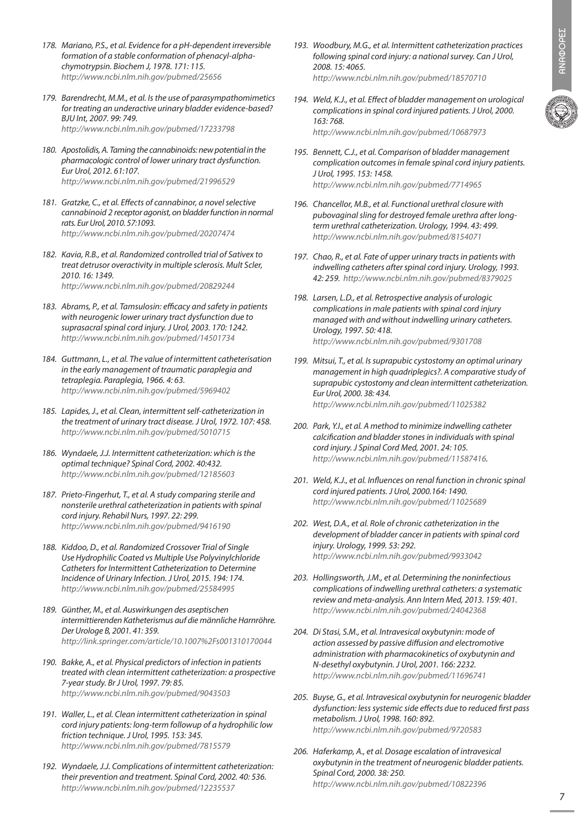- *178. Mariano, P.S., et al. Evidence for a pH-dependent irreversible formation of a stable conformation of phenacyl-alphachymotrypsin. Biochem J, 1978. 171: 115. http://www.ncbi.nlm.nih.gov/pubmed/25656*
- *179. Barendrecht, M.M., et al. Is the use of parasympathomimetics for treating an underactive urinary bladder evidence-based? BJU Int, 2007. 99: 749. http://www.ncbi.nlm.nih.gov/pubmed/17233798*
- *180. Apostolidis, A. Taming the cannabinoids: new potential in the pharmacologic control of lower urinary tract dysfunction. Eur Urol, 2012. 61:107. http://www.ncbi.nlm.nih.gov/pubmed/21996529*
- *181. Gratzke, C., et al. Effects of cannabinor, a novel selective cannabinoid 2 receptor agonist, on bladder function in normal rats. Eur Urol, 2010. 57:1093. http://www.ncbi.nlm.nih.gov/pubmed/20207474*
- *182. Kavia, R.B., et al. Randomized controlled trial of Sativex to treat detrusor overactivity in multiple sclerosis. Mult Scler, 2010. 16: 1349. http://www.ncbi.nlm.nih.gov/pubmed/20829244*
- *183. Abrams, P., et al. Tamsulosin: efficacy and safety in patients with neurogenic lower urinary tract dysfunction due to suprasacral spinal cord injury. J Urol, 2003. 170: 1242. http://www.ncbi.nlm.nih.gov/pubmed/14501734*
- *184. Guttmann, L., et al. The value of intermittent catheterisation in the early management of traumatic paraplegia and tetraplegia. Paraplegia, 1966. 4: 63. http://www.ncbi.nlm.nih.gov/pubmed/5969402*
- *185. Lapides, J., et al. Clean, intermittent self-catheterization in the treatment of urinary tract disease. J Urol, 1972. 107: 458. http://www.ncbi.nlm.nih.gov/pubmed/5010715*
- *186. Wyndaele, J.J. Intermittent catheterization: which is the optimal technique? Spinal Cord, 2002. 40:432. http://www.ncbi.nlm.nih.gov/pubmed/12185603*
- *187. Prieto-Fingerhut, T., et al. A study comparing sterile and nonsterile urethral catheterization in patients with spinal cord injury. Rehabil Nurs, 1997. 22: 299. http://www.ncbi.nlm.nih.gov/pubmed/9416190*
- *188. Kiddoo, D., et al. Randomized Crossover Trial of Single Use Hydrophilic Coated vs Multiple Use Polyvinylchloride Catheters for Intermittent Catheterization to Determine Incidence of Urinary Infection. J Urol, 2015. 194: 174. http://www.ncbi.nlm.nih.gov/pubmed/25584995*
- *189. Günther, M., et al. Auswirkungen des aseptischen intermittierenden Katheterismus auf die männliche Harnröhre. Der Urologe B, 2001. 41: 359. http://link.springer.com/article/10.1007%2Fs001310170044*
- *190. Bakke, A., et al. Physical predictors of infection in patients treated with clean intermittent catheterization: a prospective 7-year study. Br J Urol, 1997. 79: 85. http://www.ncbi.nlm.nih.gov/pubmed/9043503*
- *191. Waller, L., et al. Clean intermittent catheterization in spinal cord injury patients: long-term followup of a hydrophilic low friction technique. J Urol, 1995. 153: 345. http://www.ncbi.nlm.nih.gov/pubmed/7815579*
- *192. Wyndaele, J.J. Complications of intermittent catheterization: their prevention and treatment. Spinal Cord, 2002. 40: 536. http://www.ncbi.nlm.nih.gov/pubmed/12235537*
- *193. Woodbury, M.G., et al. Intermittent catheterization practices following spinal cord injury: a national survey. Can J Urol, 2008. 15: 4065. http://www.ncbi.nlm.nih.gov/pubmed/18570710*
- *194. Weld, K.J., et al. Effect of bladder management on urological complications in spinal cord injured patients. J Urol, 2000. 163: 768. http://www.ncbi.nlm.nih.gov/pubmed/10687973*
- *195. Bennett, C.J., et al. Comparison of bladder management complication outcomes in female spinal cord injury patients. J Urol, 1995. 153: 1458. http://www.ncbi.nlm.nih.gov/pubmed/7714965*
- *196. Chancellor, M.B., et al. Functional urethral closure with pubovaginal sling for destroyed female urethra after longterm urethral catheterization. Urology, 1994. 43: 499. http://www.ncbi.nlm.nih.gov/pubmed/8154071*
- *197. Chao, R., et al. Fate of upper urinary tracts in patients with indwelling catheters after spinal cord injury. Urology, 1993. 42: 259. http://www.ncbi.nlm.nih.gov/pubmed/8379025*
- *198. Larsen, L.D., et al. Retrospective analysis of urologic complications in male patients with spinal cord injury managed with and without indwelling urinary catheters. Urology, 1997. 50: 418. http://www.ncbi.nlm.nih.gov/pubmed/9301708*
- *199. Mitsui, T., et al. Is suprapubic cystostomy an optimal urinary management in high quadriplegics?. A comparative study of suprapubic cystostomy and clean intermittent catheterization. Eur Urol, 2000. 38: 434. http://www.ncbi.nlm.nih.gov/pubmed/11025382*
- *200. Park, Y.I., et al. A method to minimize indwelling catheter calcification and bladder stones in individuals with spinal cord injury. J Spinal Cord Med, 2001. 24: 105. http://www.ncbi.nlm.nih.gov/pubmed/11587416.*
- *201. Weld, K.J., et al. Influences on renal function in chronic spinal cord injured patients. J Urol, 2000.164: 1490. http://www.ncbi.nlm.nih.gov/pubmed/11025689*
- *202. West, D.A., et al. Role of chronic catheterization in the development of bladder cancer in patients with spinal cord injury. Urology, 1999. 53: 292. http://www.ncbi.nlm.nih.gov/pubmed/9933042*
- *203. Hollingsworth, J.M., et al. Determining the noninfectious complications of indwelling urethral catheters: a systematic review and meta-analysis. Ann Intern Med, 2013. 159: 401. http://www.ncbi.nlm.nih.gov/pubmed/24042368*
- *204. Di Stasi, S.M., et al. Intravesical oxybutynin: mode of action assessed by passive diffusion and electromotive administration with pharmacokinetics of oxybutynin and N-desethyl oxybutynin. J Urol, 2001. 166: 2232. http://www.ncbi.nlm.nih.gov/pubmed/11696741*
- *205. Buyse, G., et al. Intravesical oxybutynin for neurogenic bladder dysfunction: less systemic side effects due to reduced first pass metabolism. J Urol, 1998. 160: 892. http://www.ncbi.nlm.nih.gov/pubmed/9720583*
- *206. Haferkamp, A., et al. Dosage escalation of intravesical oxybutynin in the treatment of neurogenic bladder patients. Spinal Cord, 2000. 38: 250. http://www.ncbi.nlm.nih.gov/pubmed/10822396*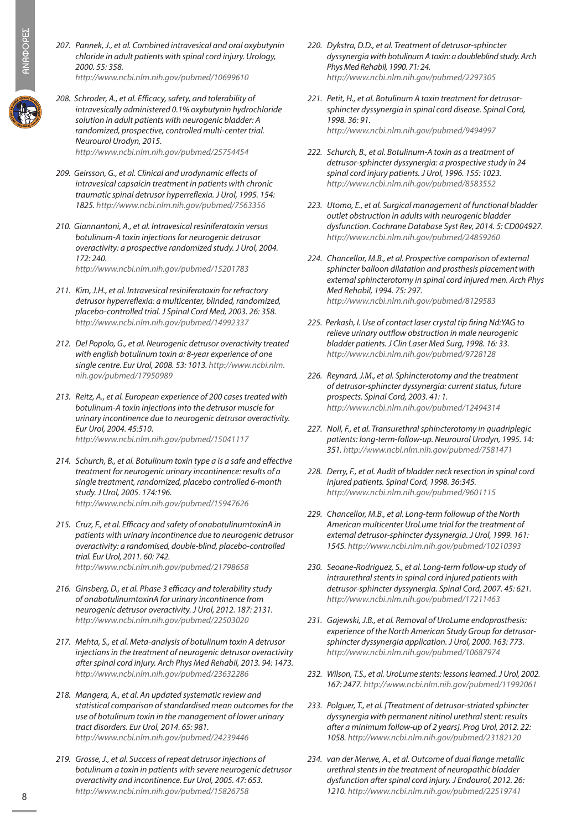- *207. Pannek, J., et al. Combined intravesical and oral oxybutynin chloride in adult patients with spinal cord injury. Urology, 2000. 55: 358. http://www.ncbi.nlm.nih.gov/pubmed/10699610*
- *208. Schroder, A., et al. Efficacy, safety, and tolerability of intravesically administered 0.1% oxybutynin hydrochloride solution in adult patients with neurogenic bladder: A randomized, prospective, controlled multi-center trial. Neurourol Urodyn, 2015. http://www.ncbi.nlm.nih.gov/pubmed/25754454*
- *209. Geirsson, G., et al. Clinical and urodynamic effects of intravesical capsaicin treatment in patients with chronic traumatic spinal detrusor hyperreflexia. J Urol, 1995. 154: 1825. http://www.ncbi.nlm.nih.gov/pubmed/7563356*
- *210. Giannantoni, A., et al. Intravesical resiniferatoxin versus botulinum-A toxin injections for neurogenic detrusor overactivity: a prospective randomized study. J Urol, 2004. 172: 240. http://www.ncbi.nlm.nih.gov/pubmed/15201783*
- *211. Kim, J.H., et al. Intravesical resiniferatoxin for refractory detrusor hyperreflexia: a multicenter, blinded, randomized, placebo-controlled trial. J Spinal Cord Med, 2003. 26: 358. http://www.ncbi.nlm.nih.gov/pubmed/14992337*
- *212. Del Popolo, G., et al. Neurogenic detrusor overactivity treated with english botulinum toxin a: 8-year experience of one single centre. Eur Urol, 2008. 53: 1013. http://www.ncbi.nlm. nih.gov/pubmed/17950989*
- *213. Reitz, A., et al. European experience of 200 cases treated with botulinum-A toxin injections into the detrusor muscle for urinary incontinence due to neurogenic detrusor overactivity. Eur Urol, 2004. 45:510. http://www.ncbi.nlm.nih.gov/pubmed/15041117*
- *214. Schurch, B., et al. Botulinum toxin type a is a safe and effective treatment for neurogenic urinary incontinence: results of a single treatment, randomized, placebo controlled 6-month study. J Urol, 2005. 174:196. http://www.ncbi.nlm.nih.gov/pubmed/15947626*
- *215. Cruz, F., et al. Efficacy and safety of onabotulinumtoxinA in patients with urinary incontinence due to neurogenic detrusor overactivity: a randomised, double-blind, placebo-controlled trial. Eur Urol, 2011. 60: 742. http://www.ncbi.nlm.nih.gov/pubmed/21798658*
- *216. Ginsberg, D., et al. Phase 3 efficacy and tolerability study of onabotulinumtoxinA for urinary incontinence from neurogenic detrusor overactivity. J Urol, 2012. 187: 2131. http://www.ncbi.nlm.nih.gov/pubmed/22503020*
- *217. Mehta, S., et al. Meta-analysis of botulinum toxin A detrusor injections in the treatment of neurogenic detrusor overactivity after spinal cord injury. Arch Phys Med Rehabil, 2013. 94: 1473. http://www.ncbi.nlm.nih.gov/pubmed/23632286*
- *218. Mangera, A., et al. An updated systematic review and statistical comparison of standardised mean outcomes for the use of botulinum toxin in the management of lower urinary tract disorders. Eur Urol, 2014. 65: 981. http://www.ncbi.nlm.nih.gov/pubmed/24239446*
- *219. Grosse, J., et al. Success of repeat detrusor injections of botulinum a toxin in patients with severe neurogenic detrusor overactivity and incontinence. Eur Urol, 2005. 47: 653. http://www.ncbi.nlm.nih.gov/pubmed/15826758*
- *220. Dykstra, D.D., et al. Treatment of detrusor-sphincter dyssynergia with botulinum A toxin: a doubleblind study. Arch Phys Med Rehabil, 1990. 71: 24. http://www.ncbi.nlm.nih.gov/pubmed/2297305*
- *221. Petit, H., et al. Botulinum A toxin treatment for detrusorsphincter dyssynergia in spinal cord disease. Spinal Cord, 1998. 36: 91. http://www.ncbi.nlm.nih.gov/pubmed/9494997*
- *222. Schurch, B., et al. Botulinum-A toxin as a treatment of detrusor-sphincter dyssynergia: a prospective study in 24 spinal cord injury patients. J Urol, 1996. 155: 1023. http://www.ncbi.nlm.nih.gov/pubmed/8583552*
- *223. Utomo, E., et al. Surgical management of functional bladder outlet obstruction in adults with neurogenic bladder dysfunction. Cochrane Database Syst Rev, 2014. 5: CD004927. http://www.ncbi.nlm.nih.gov/pubmed/24859260*
- *224. Chancellor, M.B., et al. Prospective comparison of external sphincter balloon dilatation and prosthesis placement with external sphincterotomy in spinal cord injured men. Arch Phys Med Rehabil, 1994. 75: 297. http://www.ncbi.nlm.nih.gov/pubmed/8129583*
- *225. Perkash, I. Use of contact laser crystal tip firing Nd:YAG to relieve urinary outflow obstruction in male neurogenic bladder patients. J Clin Laser Med Surg, 1998. 16: 33. http://www.ncbi.nlm.nih.gov/pubmed/9728128*
- *226. Reynard, J.M., et al. Sphincterotomy and the treatment of detrusor-sphincter dyssynergia: current status, future prospects. Spinal Cord, 2003. 41: 1. http://www.ncbi.nlm.nih.gov/pubmed/12494314*
- *227. Noll, F., et al. Transurethral sphincterotomy in quadriplegic patients: long-term-follow-up. Neurourol Urodyn, 1995. 14: 351. http://www.ncbi.nlm.nih.gov/pubmed/7581471*
- *228. Derry, F., et al. Audit of bladder neck resection in spinal cord injured patients. Spinal Cord, 1998. 36:345. http://www.ncbi.nlm.nih.gov/pubmed/9601115*
- *229. Chancellor, M.B., et al. Long-term followup of the North American multicenter UroLume trial for the treatment of external detrusor-sphincter dyssynergia. J Urol, 1999. 161: 1545. http://www.ncbi.nlm.nih.gov/pubmed/10210393*
- *230. Seoane-Rodriguez, S., et al. Long-term follow-up study of intraurethral stents in spinal cord injured patients with detrusor-sphincter dyssynergia. Spinal Cord, 2007. 45: 621. http://www.ncbi.nlm.nih.gov/pubmed/17211463*
- *231. Gajewski, J.B., et al. Removal of UroLume endoprosthesis: experience of the North American Study Group for detrusorsphincter dyssynergia application. J Urol, 2000. 163: 773. http://www.ncbi.nlm.nih.gov/pubmed/10687974*
- *232. Wilson, T.S., et al. UroLume stents: lessons learned. J Urol, 2002. 167: 2477. http://www.ncbi.nlm.nih.gov/pubmed/11992061*
- *233. Polguer, T., et al. [Treatment of detrusor-striated sphincter dyssynergia with permanent nitinol urethral stent: results after a minimum follow-up of 2 years]. Prog Urol, 2012. 22: 1058. http://www.ncbi.nlm.nih.gov/pubmed/23182120*
- *234. van der Merwe, A., et al. Outcome of dual flange metallic urethral stents in the treatment of neuropathic bladder dysfunction after spinal cord injury. J Endourol, 2012. 26: 1210. http://www.ncbi.nlm.nih.gov/pubmed/22519741*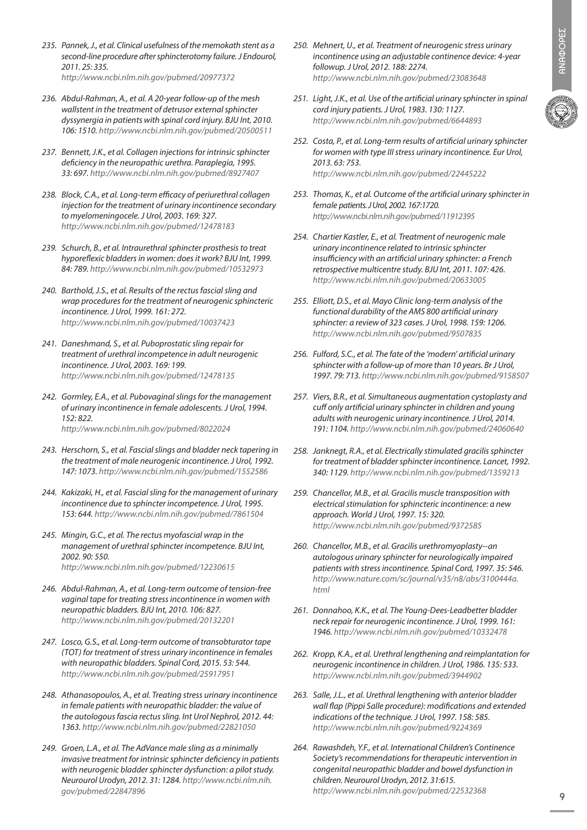- *235. Pannek, J., et al. Clinical usefulness of the memokath stent as a second-line procedure after sphincterotomy failure. J Endourol, 2011. 25: 335. http://www.ncbi.nlm.nih.gov/pubmed/20977372*
- *236. Abdul-Rahman, A., et al. A 20-year follow-up of the mesh wallstent in the treatment of detrusor external sphincter*
- *106: 1510. http://www.ncbi.nlm.nih.gov/pubmed/20500511 237. Bennett, J.K., et al. Collagen injections for intrinsic sphincter deficiency in the neuropathic urethra. Paraplegia, 1995.*

*dyssynergia in patients with spinal cord injury. BJU Int, 2010.* 

- *33: 697. http://www.ncbi.nlm.nih.gov/pubmed/8927407 238. Block, C.A., et al. Long-term efficacy of periurethral collagen injection for the treatment of urinary incontinence secondary to myelomeningocele. J Urol, 2003. 169: 327.* 
	- *http://www.ncbi.nlm.nih.gov/pubmed/12478183*
- *239. Schurch, B., et al. Intraurethral sphincter prosthesis to treat hyporeflexic bladders in women: does it work? BJU Int, 1999. 84: 789. http://www.ncbi.nlm.nih.gov/pubmed/10532973*
- *240. Barthold, J.S., et al. Results of the rectus fascial sling and wrap procedures for the treatment of neurogenic sphincteric incontinence. J Urol, 1999. 161: 272. http://www.ncbi.nlm.nih.gov/pubmed/10037423*
- *241. Daneshmand, S., et al. Puboprostatic sling repair for treatment of urethral incompetence in adult neurogenic incontinence. J Urol, 2003. 169: 199. http://www.ncbi.nlm.nih.gov/pubmed/12478135*
- *242. Gormley, E.A., et al. Pubovaginal slings for the management of urinary incontinence in female adolescents. J Urol, 1994. 152: 822. http://www.ncbi.nlm.nih.gov/pubmed/8022024*
- *243. Herschorn, S., et al. Fascial slings and bladder neck tapering in the treatment of male neurogenic incontinence. J Urol, 1992. 147: 1073. http://www.ncbi.nlm.nih.gov/pubmed/1552586*
- *244. Kakizaki, H., et al. Fascial sling for the management of urinary incontinence due to sphincter incompetence. J Urol, 1995. 153: 644. http://www.ncbi.nlm.nih.gov/pubmed/7861504*
- *245. Mingin, G.C., et al. The rectus myofascial wrap in the management of urethral sphincter incompetence. BJU Int, 2002. 90: 550. http://www.ncbi.nlm.nih.gov/pubmed/12230615*
- *246. Abdul-Rahman, A., et al. Long-term outcome of tension-free vaginal tape for treating stress incontinence in women with neuropathic bladders. BJU Int, 2010. 106: 827. http://www.ncbi.nlm.nih.gov/pubmed/20132201*
- *247. Losco, G.S., et al. Long-term outcome of transobturator tape (TOT) for treatment of stress urinary incontinence in females with neuropathic bladders. Spinal Cord, 2015. 53: 544. http://www.ncbi.nlm.nih.gov/pubmed/25917951*
- *248. Athanasopoulos, A., et al. Treating stress urinary incontinence in female patients with neuropathic bladder: the value of the autologous fascia rectus sling. Int Urol Nephrol, 2012. 44: 1363. http://www.ncbi.nlm.nih.gov/pubmed/22821050*
- *249. Groen, L.A., et al. The AdVance male sling as a minimally invasive treatment for intrinsic sphincter deficiency in patients with neurogenic bladder sphincter dysfunction: a pilot study. Neurourol Urodyn, 2012. 31: 1284. http://www.ncbi.nlm.nih. gov/pubmed/22847896*
- *250. Mehnert, U., et al. Treatment of neurogenic stress urinary incontinence using an adjustable continence device: 4-year followup. J Urol, 2012. 188: 2274. http://www.ncbi.nlm.nih.gov/pubmed/23083648*
- *251. Light, J.K., et al. Use of the artificial urinary sphincter in spinal cord injury patients. J Urol, 1983. 130: 1127. http://www.ncbi.nlm.nih.gov/pubmed/6644893*
- *252. Costa, P., et al. Long-term results of artificial urinary sphincter for women with type III stress urinary incontinence. Eur Urol, 2013. 63: 753. http://www.ncbi.nlm.nih.gov/pubmed/22445222*
- *253. Thomas, K., et al. Outcome of the artificial urinary sphincter in female patients. J Urol, 2002. 167:1720. http://www.ncbi.nlm.nih.gov/pubmed/11912395*
- *254. Chartier Kastler, E., et al. Treatment of neurogenic male urinary incontinence related to intrinsic sphincter insufficiency with an artificial urinary sphincter: a French retrospective multicentre study. BJU Int, 2011. 107: 426. http://www.ncbi.nlm.nih.gov/pubmed/20633005*
- *255. Elliott, D.S., et al. Mayo Clinic long-term analysis of the functional durability of the AMS 800 artificial urinary sphincter: a review of 323 cases. J Urol, 1998. 159: 1206. http://www.ncbi.nlm.nih.gov/pubmed/9507835*
- *256. Fulford, S.C., et al. The fate of the 'modern' artificial urinary sphincter with a follow-up of more than 10 years. Br J Urol, 1997. 79: 713. http://www.ncbi.nlm.nih.gov/pubmed/9158507*
- *257. Viers, B.R., et al. Simultaneous augmentation cystoplasty and cuff only artificial urinary sphincter in children and young adults with neurogenic urinary incontinence. J Urol, 2014. 191: 1104. http://www.ncbi.nlm.nih.gov/pubmed/24060640*
- *258. Janknegt, R.A., et al. Electrically stimulated gracilis sphincter for treatment of bladder sphincter incontinence. Lancet, 1992. 340: 1129. http://www.ncbi.nlm.nih.gov/pubmed/1359213*
- *259. Chancellor, M.B., et al. Gracilis muscle transposition with electrical stimulation for sphincteric incontinence: a new approach. World J Urol, 1997. 15: 320. http://www.ncbi.nlm.nih.gov/pubmed/9372585*
- *260. Chancellor, M.B., et al. Gracilis urethromyoplasty--an autologous urinary sphincter for neurologically impaired patients with stress incontinence. Spinal Cord, 1997. 35: 546. http://www.nature.com/sc/journal/v35/n8/abs/3100444a. html*
- *261. Donnahoo, K.K., et al. The Young-Dees-Leadbetter bladder neck repair for neurogenic incontinence. J Urol, 1999. 161: 1946. http://www.ncbi.nlm.nih.gov/pubmed/10332478*
- *262. Kropp, K.A., et al. Urethral lengthening and reimplantation for neurogenic incontinence in children. J Urol, 1986. 135: 533. http://www.ncbi.nlm.nih.gov/pubmed/3944902*
- *263. Salle, J.L., et al. Urethral lengthening with anterior bladder wall flap (Pippi Salle procedure): modifications and extended indications of the technique. J Urol, 1997. 158: 585. http://www.ncbi.nlm.nih.gov/pubmed/9224369*
- *264. Rawashdeh, Y.F., et al. International Children's Continence Society's recommendations for therapeutic intervention in congenital neuropathic bladder and bowel dysfunction in children. Neurourol Urodyn, 2012. 31:615. http://www.ncbi.nlm.nih.gov/pubmed/22532368*

9

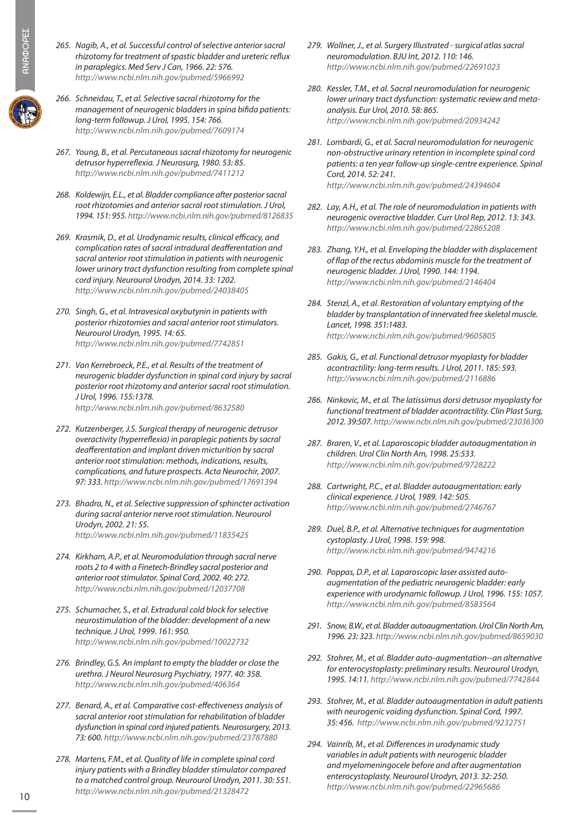- *265. Nagib, A., et al. Successful control of selective anterior sacral rhizotomy for treatment of spastic bladder and ureteric reflux in paraplegics. Med Serv J Can, 1966. 22: 576. http://www.ncbi.nlm.nih.gov/pubmed/5966992*
- *266. Schneidau, T., et al. Selective sacral rhizotomy for the management of neurogenic bladders in spina bifida patients: long-term followup. J Urol, 1995. 154: 766. http://www.ncbi.nlm.nih.gov/pubmed/7609174*
- *267. Young, B., et al. Percutaneous sacral rhizotomy for neurogenic detrusor hyperreflexia. J Neurosurg, 1980. 53: 85. http://www.ncbi.nlm.nih.gov/pubmed/7411212*
- *268. Koldewijn, E.L., et al. Bladder compliance after posterior sacral root rhizotomies and anterior sacral root stimulation. J Urol, 1994. 151: 955. http://www.ncbi.nlm.nih.gov/pubmed/8126835*
- *269. Krasmik, D., et al. Urodynamic results, clinical efficacy, and complication rates of sacral intradural deafferentation and sacral anterior root stimulation in patients with neurogenic lower urinary tract dysfunction resulting from complete spinal cord injury. Neurourol Urodyn, 2014. 33: 1202. http://www.ncbi.nlm.nih.gov/pubmed/24038405*
- *270. Singh, G., et al. Intravesical oxybutynin in patients with posterior rhizotomies and sacral anterior root stimulators. Neurourol Urodyn, 1995. 14: 65. http://www.ncbi.nlm.nih.gov/pubmed/7742851*
- *271. Van Kerrebroeck, P.E., et al. Results of the treatment of neurogenic bladder dysfunction in spinal cord injury by sacral posterior root rhizotomy and anterior sacral root stimulation. J Urol, 1996. 155:1378. http://www.ncbi.nlm.nih.gov/pubmed/8632580*
- *272. Kutzenberger, J.S. Surgical therapy of neurogenic detrusor overactivity (hyperreflexia) in paraplegic patients by sacral deafferentation and implant driven micturition by sacral anterior root stimulation: methods, indications, results, complications, and future prospects. Acta Neurochir, 2007. 97: 333. http://www.ncbi.nlm.nih.gov/pubmed/17691394*
- *273. Bhadra, N., et al. Selective suppression of sphincter activation during sacral anterior nerve root stimulation. Neurourol Urodyn, 2002. 21: 55. http://www.ncbi.nlm.nih.gov/pubmed/11835425*
- *274. Kirkham, A.P., et al. Neuromodulation through sacral nerve roots 2 to 4 with a Finetech-Brindley sacral posterior and anterior root stimulator. Spinal Cord, 2002. 40: 272. http://www.ncbi.nlm.nih.gov/pubmed/12037708*
- *275. Schumacher, S., et al. Extradural cold block for selective neurostimulation of the bladder: development of a new technique. J Urol, 1999. 161: 950. http://www.ncbi.nlm.nih.gov/pubmed/10022732*
- *276. Brindley, G.S. An implant to empty the bladder or close the urethra. J Neurol Neurosurg Psychiatry, 1977. 40: 358. http://www.ncbi.nlm.nih.gov/pubmed/406364*
- *277. Benard, A., et al. Comparative cost-effectiveness analysis of sacral anterior root stimulation for rehabilitation of bladder dysfunction in spinal cord injured patients. Neurosurgery, 2013. 73: 600. http://www.ncbi.nlm.nih.gov/pubmed/23787880*
- *278. Martens, F.M., et al. Quality of life in complete spinal cord injury patients with a Brindley bladder stimulator compared to a matched control group. Neurourol Urodyn, 2011. 30: 551. http://www.ncbi.nlm.nih.gov/pubmed/21328472*
- *279. Wollner, J., et al. Surgery Illustrated surgical atlas sacral neuromodulation. BJU Int, 2012. 110: 146. http://www.ncbi.nlm.nih.gov/pubmed/22691023*
- *280. Kessler, T.M., et al. Sacral neuromodulation for neurogenic lower urinary tract dysfunction: systematic review and metaanalysis. Eur Urol, 2010. 58: 865. http://www.ncbi.nlm.nih.gov/pubmed/20934242*
- *281. Lombardi, G., et al. Sacral neuromodulation for neurogenic non-obstructive urinary retention in incomplete spinal cord patients: a ten year follow-up single-centre experience. Spinal Cord, 2014. 52: 241. http://www.ncbi.nlm.nih.gov/pubmed/24394604*
- *282. Lay, A.H., et al. The role of neuromodulation in patients with neurogenic overactive bladder. Curr Urol Rep, 2012. 13: 343. http://www.ncbi.nlm.nih.gov/pubmed/22865208*
- *283. Zhang, Y.H., et al. Enveloping the bladder with displacement of flap of the rectus abdominis muscle for the treatment of neurogenic bladder. J Urol, 1990. 144: 1194. http://www.ncbi.nlm.nih.gov/pubmed/2146404*
- *284. Stenzl, A., et al. Restoration of voluntary emptying of the bladder by transplantation of innervated free skeletal muscle. Lancet, 1998. 351:1483. http://www.ncbi.nlm.nih.gov/pubmed/9605805*
- *285. Gakis, G., et al. Functional detrusor myoplasty for bladder acontractility: long-term results. J Urol, 2011. 185: 593. http://www.ncbi.nlm.nih.gov/pubmed/2116886*
- *286. Ninkovic, M., et al. The latissimus dorsi detrusor myoplasty for functional treatment of bladder acontractility. Clin Plast Surg, 2012. 39:507. http://www.ncbi.nlm.nih.gov/pubmed/23036300*
- *287. Braren, V., et al. Laparoscopic bladder autoaugmentation in children. Urol Clin North Am, 1998. 25:533. http://www.ncbi.nlm.nih.gov/pubmed/9728222*
- *288. Cartwright, P.C., et al. Bladder autoaugmentation: early clinical experience. J Urol, 1989. 142: 505. http://www.ncbi.nlm.nih.gov/pubmed/2746767*
- *289. Duel, B.P., et al. Alternative techniques for augmentation cystoplasty. J Urol, 1998. 159: 998. http://www.ncbi.nlm.nih.gov/pubmed/9474216*
- *290. Poppas, D.P., et al. Laparoscopic laser assisted autoaugmentation of the pediatric neurogenic bladder: early experience with urodynamic followup. J Urol, 1996. 155: 1057. http://www.ncbi.nlm.nih.gov/pubmed/8583564*
- *291. Snow, B.W., et al. Bladder autoaugmentation. Urol Clin North Am, 1996. 23: 323. http://www.ncbi.nlm.nih.gov/pubmed/8659030*
- *292. Stohrer, M., et al. Bladder auto-augmentation--an alternative for enterocystoplasty: preliminary results. Neurourol Urodyn, 1995. 14:11. http://www.ncbi.nlm.nih.gov/pubmed/7742844*
- *293. Stohrer, M., et al. Bladder autoaugmentation in adult patients with neurogenic voiding dysfunction. Spinal Cord, 1997. 35: 456. http://www.ncbi.nlm.nih.gov/pubmed/9232751*
- *294. Vainrib, M., et al. Differences in urodynamic study variables in adult patients with neurogenic bladder and myelomeningocele before and after augmentation enterocystoplasty. Neurourol Urodyn, 2013. 32: 250. http://www.ncbi.nlm.nih.gov/pubmed/22965686*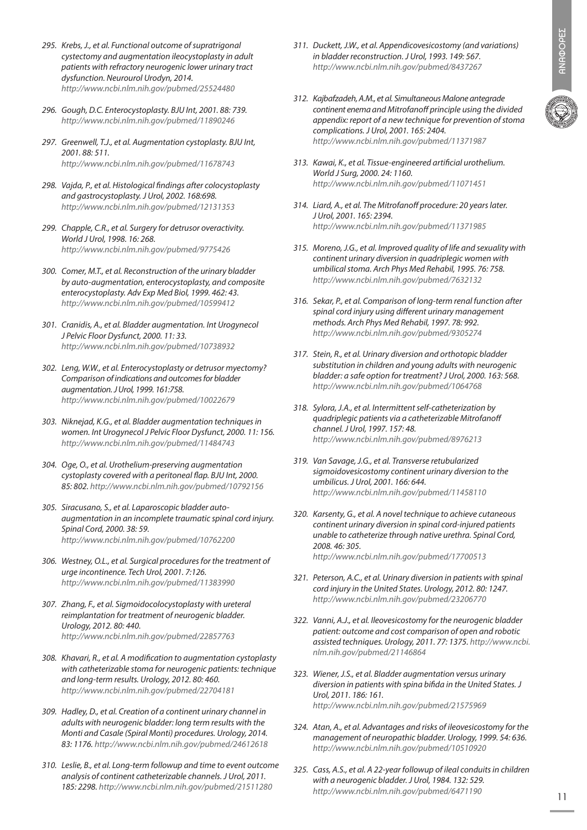- *295. Krebs, J., et al. Functional outcome of supratrigonal cystectomy and augmentation ileocystoplasty in adult patients with refractory neurogenic lower urinary tract dysfunction. Neurourol Urodyn, 2014. http://www.ncbi.nlm.nih.gov/pubmed/25524480*
- *296. Gough, D.C. Enterocystoplasty. BJU Int, 2001. 88: 739. http://www.ncbi.nlm.nih.gov/pubmed/11890246*
- *297. Greenwell, T.J., et al. Augmentation cystoplasty. BJU Int, 2001. 88: 511. http://www.ncbi.nlm.nih.gov/pubmed/11678743*
- *298. Vajda, P., et al. Histological findings after colocystoplasty and gastrocystoplasty. J Urol, 2002. 168:698. http://www.ncbi.nlm.nih.gov/pubmed/12131353*
- *299. Chapple, C.R., et al. Surgery for detrusor overactivity. World J Urol, 1998. 16: 268. http://www.ncbi.nlm.nih.gov/pubmed/9775426*
- *300. Comer, M.T., et al. Reconstruction of the urinary bladder by auto-augmentation, enterocystoplasty, and composite enterocystoplasty. Adv Exp Med Biol, 1999. 462: 43. http://www.ncbi.nlm.nih.gov/pubmed/10599412*
- *301. Cranidis, A., et al. Bladder augmentation. Int Urogynecol J Pelvic Floor Dysfunct, 2000. 11: 33. http://www.ncbi.nlm.nih.gov/pubmed/10738932*
- *302. Leng, W.W., et al. Enterocystoplasty or detrusor myectomy? Comparison of indications and outcomes for bladder augmentation. J Urol, 1999. 161:758. http://www.ncbi.nlm.nih.gov/pubmed/10022679*
- *303. Niknejad, K.G., et al. Bladder augmentation techniques in women. Int Urogynecol J Pelvic Floor Dysfunct, 2000. 11: 156. http://www.ncbi.nlm.nih.gov/pubmed/11484743*
- *304. Oge, O., et al. Urothelium-preserving augmentation cystoplasty covered with a peritoneal flap. BJU Int, 2000. 85: 802. http://www.ncbi.nlm.nih.gov/pubmed/10792156*
- *305. Siracusano, S., et al. Laparoscopic bladder autoaugmentation in an incomplete traumatic spinal cord injury. Spinal Cord, 2000. 38: 59. http://www.ncbi.nlm.nih.gov/pubmed/10762200*
- *306. Westney, O.L., et al. Surgical procedures for the treatment of urge incontinence. Tech Urol, 2001. 7:126. http://www.ncbi.nlm.nih.gov/pubmed/11383990*
- *307. Zhang, F., et al. Sigmoidocolocystoplasty with ureteral reimplantation for treatment of neurogenic bladder. Urology, 2012. 80: 440. http://www.ncbi.nlm.nih.gov/pubmed/22857763*
- *308. Khavari, R., et al. A modification to augmentation cystoplasty with catheterizable stoma for neurogenic patients: technique and long-term results. Urology, 2012. 80: 460. http://www.ncbi.nlm.nih.gov/pubmed/22704181*
- *309. Hadley, D., et al. Creation of a continent urinary channel in adults with neurogenic bladder: long term results with the Monti and Casale (Spiral Monti) procedures. Urology, 2014. 83: 1176. http://www.ncbi.nlm.nih.gov/pubmed/24612618*
- *310. Leslie, B., et al. Long-term followup and time to event outcome analysis of continent catheterizable channels. J Urol, 2011. 185: 2298. http://www.ncbi.nlm.nih.gov/pubmed/21511280*
- *311. Duckett, J.W., et al. Appendicovesicostomy (and variations) in bladder reconstruction. J Urol, 1993. 149: 567. http://www.ncbi.nlm.nih.gov/pubmed/8437267*
- *312. Kajbafzadeh, A.M., et al. Simultaneous Malone antegrade continent enema and Mitrofanoff principle using the divided appendix: report of a new technique for prevention of stoma complications. J Urol, 2001. 165: 2404. http://www.ncbi.nlm.nih.gov/pubmed/11371987*
- *313. Kawai, K., et al. Tissue-engineered artificial urothelium. World J Surg, 2000. 24: 1160. http://www.ncbi.nlm.nih.gov/pubmed/11071451*
- *314. Liard, A., et al. The Mitrofanoff procedure: 20 years later. J Urol, 2001. 165: 2394. http://www.ncbi.nlm.nih.gov/pubmed/11371985*
- *315. Moreno, J.G., et al. Improved quality of life and sexuality with continent urinary diversion in quadriplegic women with umbilical stoma. Arch Phys Med Rehabil, 1995. 76: 758. http://www.ncbi.nlm.nih.gov/pubmed/7632132*
- *316. Sekar, P., et al. Comparison of long-term renal function after spinal cord injury using different urinary management methods. Arch Phys Med Rehabil, 1997. 78: 992. http://www.ncbi.nlm.nih.gov/pubmed/9305274*
- *317. Stein, R., et al. Urinary diversion and orthotopic bladder substitution in children and young adults with neurogenic bladder: a safe option for treatment? J Urol, 2000. 163: 568. http://www.ncbi.nlm.nih.gov/pubmed/1064768*
- *318. Sylora, J.A., et al. Intermittent self-catheterization by quadriplegic patients via a catheterizable Mitrofanoff channel. J Urol, 1997. 157: 48. http://www.ncbi.nlm.nih.gov/pubmed/8976213*
- *319. Van Savage, J.G., et al. Transverse retubularized sigmoidovesicostomy continent urinary diversion to the umbilicus. J Urol, 2001. 166: 644. http://www.ncbi.nlm.nih.gov/pubmed/11458110*
- *320. Karsenty, G., et al. A novel technique to achieve cutaneous continent urinary diversion in spinal cord-injured patients unable to catheterize through native urethra. Spinal Cord, 2008. 46: 305. http://www.ncbi.nlm.nih.gov/pubmed/17700513*
- *321. Peterson, A.C., et al. Urinary diversion in patients with spinal cord injury in the United States. Urology, 2012. 80: 1247. http://www.ncbi.nlm.nih.gov/pubmed/23206770*
- *322. Vanni, A.J., et al. Ileovesicostomy for the neurogenic bladder patient: outcome and cost comparison of open and robotic assisted techniques. Urology, 2011. 77: 1375. http://www.ncbi. nlm.nih.gov/pubmed/21146864*
- *323. Wiener, J.S., et al. Bladder augmentation versus urinary diversion in patients with spina bifida in the United States. J Urol, 2011. 186: 161. http://www.ncbi.nlm.nih.gov/pubmed/21575969*
- *324. Atan, A., et al. Advantages and risks of ileovesicostomy for the management of neuropathic bladder. Urology, 1999. 54: 636. http://www.ncbi.nlm.nih.gov/pubmed/10510920*
- *325. Cass, A.S., et al. A 22-year followup of ileal conduits in children with a neurogenic bladder. J Urol, 1984. 132: 529. http://www.ncbi.nlm.nih.gov/pubmed/6471190*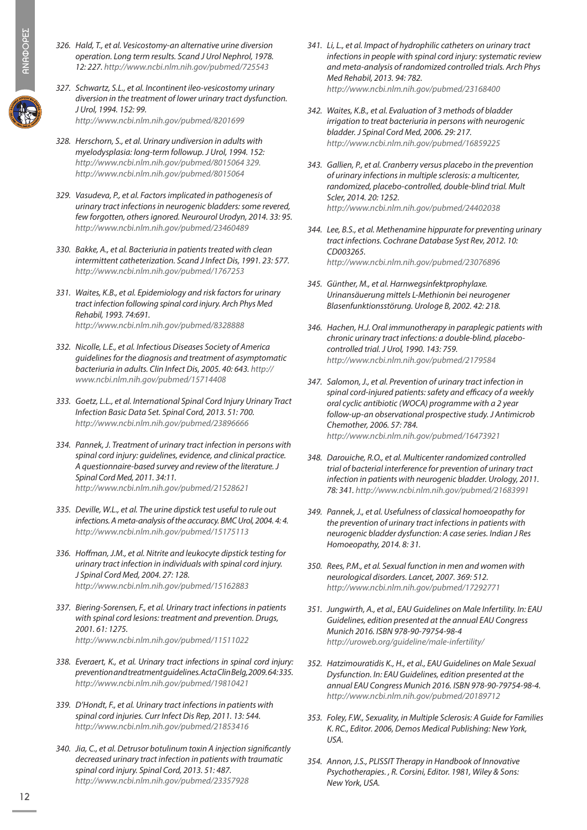- *326. Hald, T., et al. Vesicostomy-an alternative urine diversion operation. Long term results. Scand J Urol Nephrol, 1978. 12: 227. http://www.ncbi.nlm.nih.gov/pubmed/725543*
- *327. Schwartz, S.L., et al. Incontinent ileo-vesicostomy urinary diversion in the treatment of lower urinary tract dysfunction. J Urol, 1994. 152: 99. http://www.ncbi.nlm.nih.gov/pubmed/8201699*
- *328. Herschorn, S., et al. Urinary undiversion in adults with myelodysplasia: long-term followup. J Urol, 1994. 152: http://www.ncbi.nlm.nih.gov/pubmed/8015064 329. http://www.ncbi.nlm.nih.gov/pubmed/8015064*
- *329. Vasudeva, P., et al. Factors implicated in pathogenesis of urinary tract infections in neurogenic bladders: some revered, few forgotten, others ignored. Neurourol Urodyn, 2014. 33: 95. http://www.ncbi.nlm.nih.gov/pubmed/23460489*
- *330. Bakke, A., et al. Bacteriuria in patients treated with clean intermittent catheterization. Scand J Infect Dis, 1991. 23: 577. http://www.ncbi.nlm.nih.gov/pubmed/1767253*
- *331. Waites, K.B., et al. Epidemiology and risk factors for urinary tract infection following spinal cord injury. Arch Phys Med Rehabil, 1993. 74:691. http://www.ncbi.nlm.nih.gov/pubmed/8328888*
- *332. Nicolle, L.E., et al. Infectious Diseases Society of America guidelines for the diagnosis and treatment of asymptomatic bacteriuria in adults. Clin Infect Dis, 2005. 40: 643. http:// www.ncbi.nlm.nih.gov/pubmed/15714408*
- *333. Goetz, L.L., et al. International Spinal Cord Injury Urinary Tract Infection Basic Data Set. Spinal Cord, 2013. 51: 700. http://www.ncbi.nlm.nih.gov/pubmed/23896666*
- *334. Pannek, J. Treatment of urinary tract infection in persons with spinal cord injury: guidelines, evidence, and clinical practice. A questionnaire-based survey and review of the literature. J Spinal Cord Med, 2011. 34:11. http://www.ncbi.nlm.nih.gov/pubmed/21528621*
- *335. Deville, W.L., et al. The urine dipstick test useful to rule out infections. A meta-analysis of the accuracy. BMC Urol, 2004. 4: 4. http://www.ncbi.nlm.nih.gov/pubmed/15175113*
- *336. Hoffman, J.M., et al. Nitrite and leukocyte dipstick testing for urinary tract infection in individuals with spinal cord injury. J Spinal Cord Med, 2004. 27: 128. http://www.ncbi.nlm.nih.gov/pubmed/15162883*
- *337. Biering-Sorensen, F., et al. Urinary tract infections in patients with spinal cord lesions: treatment and prevention. Drugs, 2001. 61: 1275. http://www.ncbi.nlm.nih.gov/pubmed/11511022*
- *338. Everaert, K., et al. Urinary tract infections in spinal cord injury: prevention and treatment guidelines. Acta Clin Belg, 2009. 64: 335. http://www.ncbi.nlm.nih.gov/pubmed/19810421*
- *339. D'Hondt, F., et al. Urinary tract infections in patients with spinal cord injuries. Curr Infect Dis Rep, 2011. 13: 544. http://www.ncbi.nlm.nih.gov/pubmed/21853416*
- *340. Jia, C., et al. Detrusor botulinum toxin A injection significantly decreased urinary tract infection in patients with traumatic spinal cord injury. Spinal Cord, 2013. 51: 487. http://www.ncbi.nlm.nih.gov/pubmed/23357928*
- *341. Li, L., et al. Impact of hydrophilic catheters on urinary tract infections in people with spinal cord injury: systematic review and meta-analysis of randomized controlled trials. Arch Phys Med Rehabil, 2013. 94: 782. http://www.ncbi.nlm.nih.gov/pubmed/23168400*
- *342. Waites, K.B., et al. Evaluation of 3 methods of bladder irrigation to treat bacteriuria in persons with neurogenic bladder. J Spinal Cord Med, 2006. 29: 217. http://www.ncbi.nlm.nih.gov/pubmed/16859225*
- *343. Gallien, P., et al. Cranberry versus placebo in the prevention of urinary infections in multiple sclerosis: a multicenter, randomized, placebo-controlled, double-blind trial. Mult Scler, 2014. 20: 1252. http://www.ncbi.nlm.nih.gov/pubmed/24402038*
- *344. Lee, B.S., et al. Methenamine hippurate for preventing urinary tract infections. Cochrane Database Syst Rev, 2012. 10: CD003265. http://www.ncbi.nlm.nih.gov/pubmed/23076896*
- *345. Günther, M., et al. Harnwegsinfektprophylaxe. Urinansäuerung mittels L-Methionin bei neurogener Blasenfunktionsstörung. Urologe B, 2002. 42: 218.*
- *346. Hachen, H.J. Oral immunotherapy in paraplegic patients with chronic urinary tract infections: a double-blind, placebocontrolled trial. J Urol, 1990. 143: 759. http://www.ncbi.nlm.nih.gov/pubmed/2179584*
- *347. Salomon, J., et al. Prevention of urinary tract infection in spinal cord-injured patients: safety and efficacy of a weekly oral cyclic antibiotic (WOCA) programme with a 2 year follow-up-an observational prospective study. J Antimicrob Chemother, 2006. 57: 784. http://www.ncbi.nlm.nih.gov/pubmed/16473921*
- *348. Darouiche, R.O., et al. Multicenter randomized controlled trial of bacterial interference for prevention of urinary tract infection in patients with neurogenic bladder. Urology, 2011. 78: 341. http://www.ncbi.nlm.nih.gov/pubmed/21683991*
- *349. Pannek, J., et al. Usefulness of classical homoeopathy for the prevention of urinary tract infections in patients with neurogenic bladder dysfunction: A case series. Indian J Res Homoeopathy, 2014. 8: 31.*
- *350. Rees, P.M., et al. Sexual function in men and women with neurological disorders. Lancet, 2007. 369: 512. http://www.ncbi.nlm.nih.gov/pubmed/17292771*
- *351. Jungwirth, A., et al., EAU Guidelines on Male Infertility. In: EAU Guidelines, edition presented at the annual EAU Congress Munich 2016. ISBN 978-90-79754-98-4 http://uroweb.org/guideline/male-infertility/*
- *352. Hatzimouratidis K., H., et al., EAU Guidelines on Male Sexual Dysfunction. In: EAU Guidelines, edition presented at the annual EAU Congress Munich 2016. ISBN 978-90-79754-98-4. http://www.ncbi.nlm.nih.gov/pubmed/20189712*
- *353. Foley, F.W., Sexuality, in Multiple Sclerosis: A Guide for Families K. RC., Editor. 2006, Demos Medical Publishing: New York, USA.*
- *354. Annon, J.S., PLISSIT Therapy in Handbook of Innovative Psychotherapies. , R. Corsini, Editor. 1981, Wiley & Sons: New York, USA.*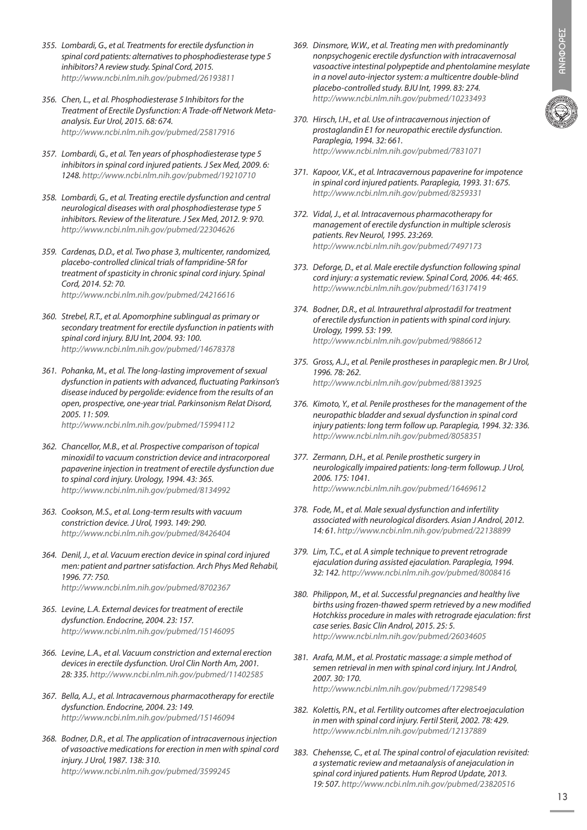- *355. Lombardi, G., et al. Treatments for erectile dysfunction in spinal cord patients: alternatives to phosphodiesterase type 5 inhibitors? A review study. Spinal Cord, 2015. http://www.ncbi.nlm.nih.gov/pubmed/26193811*
- *356. Chen, L., et al. Phosphodiesterase 5 Inhibitors for the Treatment of Erectile Dysfunction: A Trade-off Network Metaanalysis. Eur Urol, 2015. 68: 674. http://www.ncbi.nlm.nih.gov/pubmed/25817916*
- *357. Lombardi, G., et al. Ten years of phosphodiesterase type 5 inhibitors in spinal cord injured patients. J Sex Med, 2009. 6: 1248. http://www.ncbi.nlm.nih.gov/pubmed/19210710*
- *358. Lombardi, G., et al. Treating erectile dysfunction and central neurological diseases with oral phosphodiesterase type 5 inhibitors. Review of the literature. J Sex Med, 2012. 9: 970. http://www.ncbi.nlm.nih.gov/pubmed/22304626*
- *359. Cardenas, D.D., et al. Two phase 3, multicenter, randomized, placebo-controlled clinical trials of fampridine-SR for treatment of spasticity in chronic spinal cord injury. Spinal Cord, 2014. 52: 70. http://www.ncbi.nlm.nih.gov/pubmed/24216616*
- *360. Strebel, R.T., et al. Apomorphine sublingual as primary or secondary treatment for erectile dysfunction in patients with spinal cord injury. BJU Int, 2004. 93: 100. http://www.ncbi.nlm.nih.gov/pubmed/14678378*
- *361. Pohanka, M., et al. The long-lasting improvement of sexual dysfunction in patients with advanced, fluctuating Parkinson's disease induced by pergolide: evidence from the results of an open, prospective, one-year trial. Parkinsonism Relat Disord, 2005. 11: 509. http://www.ncbi.nlm.nih.gov/pubmed/15994112*
- *362. Chancellor, M.B., et al. Prospective comparison of topical minoxidil to vacuum constriction device and intracorporeal papaverine injection in treatment of erectile dysfunction due to spinal cord injury. Urology, 1994. 43: 365. http://www.ncbi.nlm.nih.gov/pubmed/8134992*
- *363. Cookson, M.S., et al. Long-term results with vacuum constriction device. J Urol, 1993. 149: 290. http://www.ncbi.nlm.nih.gov/pubmed/8426404*
- *364. Denil, J., et al. Vacuum erection device in spinal cord injured men: patient and partner satisfaction. Arch Phys Med Rehabil, 1996. 77: 750. http://www.ncbi.nlm.nih.gov/pubmed/8702367*
- *365. Levine, L.A. External devices for treatment of erectile dysfunction. Endocrine, 2004. 23: 157. http://www.ncbi.nlm.nih.gov/pubmed/15146095*
- *366. Levine, L.A., et al. Vacuum constriction and external erection devices in erectile dysfunction. Urol Clin North Am, 2001. 28: 335. http://www.ncbi.nlm.nih.gov/pubmed/11402585*
- *367. Bella, A.J., et al. Intracavernous pharmacotherapy for erectile dysfunction. Endocrine, 2004. 23: 149. http://www.ncbi.nlm.nih.gov/pubmed/15146094*
- *368. Bodner, D.R., et al. The application of intracavernous injection of vasoactive medications for erection in men with spinal cord injury. J Urol, 1987. 138: 310. http://www.ncbi.nlm.nih.gov/pubmed/3599245*
- *369. Dinsmore, W.W., et al. Treating men with predominantly nonpsychogenic erectile dysfunction with intracavernosal vasoactive intestinal polypeptide and phentolamine mesylate in a novel auto-injector system: a multicentre double-blind placebo-controlled study. BJU Int, 1999. 83: 274. http://www.ncbi.nlm.nih.gov/pubmed/10233493*
- *370. Hirsch, I.H., et al. Use of intracavernous injection of prostaglandin E1 for neuropathic erectile dysfunction. Paraplegia, 1994. 32: 661. http://www.ncbi.nlm.nih.gov/pubmed/7831071*
- *371. Kapoor, V.K., et al. Intracavernous papaverine for impotence in spinal cord injured patients. Paraplegia, 1993. 31: 675. http://www.ncbi.nlm.nih.gov/pubmed/8259331*
- *372. Vidal, J., et al. Intracavernous pharmacotherapy for management of erectile dysfunction in multiple sclerosis patients. Rev Neurol, 1995. 23:269. http://www.ncbi.nlm.nih.gov/pubmed/7497173*
- *373. Deforge, D., et al. Male erectile dysfunction following spinal cord injury: a systematic review. Spinal Cord, 2006. 44: 465. http://www.ncbi.nlm.nih.gov/pubmed/16317419*
- *374. Bodner, D.R., et al. Intraurethral alprostadil for treatment of erectile dysfunction in patients with spinal cord injury. Urology, 1999. 53: 199. http://www.ncbi.nlm.nih.gov/pubmed/9886612*
- *375. Gross, A.J., et al. Penile prostheses in paraplegic men. Br J Urol, 1996. 78: 262. http://www.ncbi.nlm.nih.gov/pubmed/8813925*
- *376. Kimoto, Y., et al. Penile prostheses for the management of the neuropathic bladder and sexual dysfunction in spinal cord injury patients: long term follow up. Paraplegia, 1994. 32: 336. http://www.ncbi.nlm.nih.gov/pubmed/8058351*
- *377. Zermann, D.H., et al. Penile prosthetic surgery in neurologically impaired patients: long-term followup. J Urol, 2006. 175: 1041. http://www.ncbi.nlm.nih.gov/pubmed/16469612*
- *378. Fode, M., et al. Male sexual dysfunction and infertility associated with neurological disorders. Asian J Androl, 2012. 14: 61. http://www.ncbi.nlm.nih.gov/pubmed/22138899*
- *379. Lim, T.C., et al. A simple technique to prevent retrograde ejaculation during assisted ejaculation. Paraplegia, 1994. 32: 142. http://www.ncbi.nlm.nih.gov/pubmed/8008416*
- *380. Philippon, M., et al. Successful pregnancies and healthy live births using frozen-thawed sperm retrieved by a new modified Hotchkiss procedure in males with retrograde ejaculation: first case series. Basic Clin Androl, 2015. 25: 5. http://www.ncbi.nlm.nih.gov/pubmed/26034605*
- *381. Arafa, M.M., et al. Prostatic massage: a simple method of semen retrieval in men with spinal cord injury. Int J Androl, 2007. 30: 170. http://www.ncbi.nlm.nih.gov/pubmed/17298549*
- *382. Kolettis, P.N., et al. Fertility outcomes after electroejaculation in men with spinal cord injury. Fertil Steril, 2002. 78: 429. http://www.ncbi.nlm.nih.gov/pubmed/12137889*
- *383. Chehensse, C., et al. The spinal control of ejaculation revisited: a systematic review and metaanalysis of anejaculation in spinal cord injured patients. Hum Reprod Update, 2013. 19: 507. http://www.ncbi.nlm.nih.gov/pubmed/23820516*

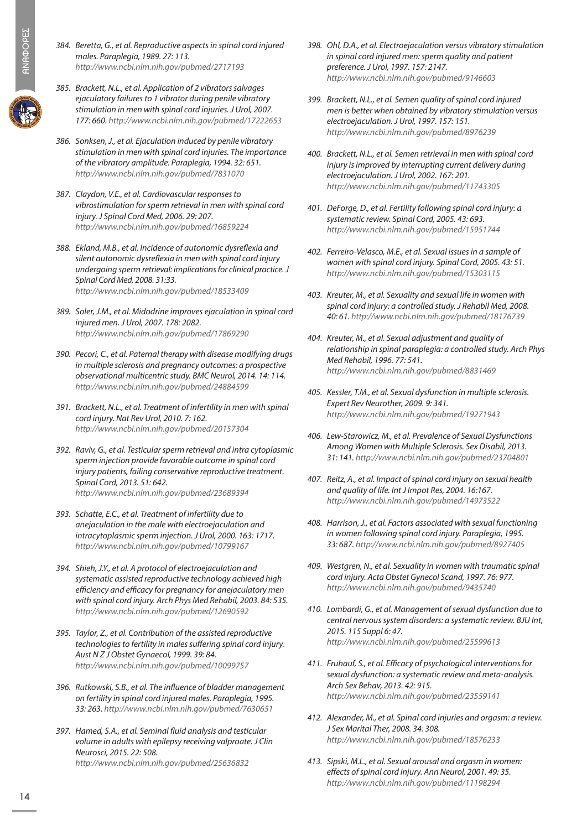- *384. Beretta, G., et al. Reproductive aspects in spinal cord injured males. Paraplegia, 1989. 27: 113. http://www.ncbi.nlm.nih.gov/pubmed/2717193*
- *385. Brackett, N.L., et al. Application of 2 vibrators salvages ejaculatory failures to 1 vibrator during penile vibratory stimulation in men with spinal cord injuries. J Urol, 2007. 177: 660. http://www.ncbi.nlm.nih.gov/pubmed/17222653*
- *386. Sonksen, J., et al. Ejaculation induced by penile vibratory stimulation in men with spinal cord injuries. The importance of the vibratory amplitude. Paraplegia, 1994. 32: 651. http://www.ncbi.nlm.nih.gov/pubmed/7831070*
- *387. Claydon, V.E., et al. Cardiovascular responses to vibrostimulation for sperm retrieval in men with spinal cord injury. J Spinal Cord Med, 2006. 29: 207. http://www.ncbi.nlm.nih.gov/pubmed/16859224*
- *388. Ekland, M.B., et al. Incidence of autonomic dysreflexia and silent autonomic dysreflexia in men with spinal cord injury undergoing sperm retrieval: implications for clinical practice. J Spinal Cord Med, 2008. 31:33. http://www.ncbi.nlm.nih.gov/pubmed/18533409*
- *389. Soler, J.M., et al. Midodrine improves ejaculation in spinal cord injured men. J Urol, 2007. 178: 2082. http://www.ncbi.nlm.nih.gov/pubmed/17869290*
- *390. Pecori, C., et al. Paternal therapy with disease modifying drugs in multiple sclerosis and pregnancy outcomes: a prospective observational multicentric study. BMC Neurol, 2014. 14: 114. http://www.ncbi.nlm.nih.gov/pubmed/24884599*
- *391. Brackett, N.L., et al. Treatment of infertility in men with spinal cord injury. Nat Rev Urol, 2010. 7: 162. http://www.ncbi.nlm.nih.gov/pubmed/20157304*
- *392. Raviv, G., et al. Testicular sperm retrieval and intra cytoplasmic sperm injection provide favorable outcome in spinal cord injury patients, failing conservative reproductive treatment. Spinal Cord, 2013. 51: 642. http://www.ncbi.nlm.nih.gov/pubmed/23689394*
- *393. Schatte, E.C., et al. Treatment of infertility due to anejaculation in the male with electroejaculation and intracytoplasmic sperm injection. J Urol, 2000. 163: 1717. http://www.ncbi.nlm.nih.gov/pubmed/10799167*
- *394. Shieh, J.Y., et al. A protocol of electroejaculation and systematic assisted reproductive technology achieved high efficiency and efficacy for pregnancy for anejaculatory men with spinal cord injury. Arch Phys Med Rehabil, 2003. 84: 535. http://www.ncbi.nlm.nih.gov/pubmed/12690592*
- *395. Taylor, Z., et al. Contribution of the assisted reproductive technologies to fertility in males suffering spinal cord injury. Aust N Z J Obstet Gynaecol, 1999. 39: 84. http://www.ncbi.nlm.nih.gov/pubmed/10099757*
- *396. Rutkowski, S.B., et al. The influence of bladder management on fertility in spinal cord injured males. Paraplegia, 1995. 33: 263. http://www.ncbi.nlm.nih.gov/pubmed/7630651*
- *397. Hamed, S.A., et al. Seminal fluid analysis and testicular volume in adults with epilepsy receiving valproate. J Clin Neurosci, 2015. 22: 508. http://www.ncbi.nlm.nih.gov/pubmed/25636832*
- *398. Ohl, D.A., et al. Electroejaculation versus vibratory stimulation in spinal cord injured men: sperm quality and patient preference. J Urol, 1997. 157: 2147. http://www.ncbi.nlm.nih.gov/pubmed/9146603*
- *399. Brackett, N.L., et al. Semen quality of spinal cord injured men is better when obtained by vibratory stimulation versus electroejaculation. J Urol, 1997. 157: 151. http://www.ncbi.nlm.nih.gov/pubmed/8976239*
- *400. Brackett, N.L., et al. Semen retrieval in men with spinal cord injury is improved by interrupting current delivery during electroejaculation. J Urol, 2002. 167: 201. http://www.ncbi.nlm.nih.gov/pubmed/11743305*
- *401. DeForge, D., et al. Fertility following spinal cord injury: a systematic review. Spinal Cord, 2005. 43: 693. http://www.ncbi.nlm.nih.gov/pubmed/15951744*
- *402. Ferreiro-Velasco, M.E., et al. Sexual issues in a sample of women with spinal cord injury. Spinal Cord, 2005. 43: 51. http://www.ncbi.nlm.nih.gov/pubmed/15303115*
- *403. Kreuter, M., et al. Sexuality and sexual life in women with spinal cord injury: a controlled study. J Rehabil Med, 2008. 40: 61. http://www.ncbi.nlm.nih.gov/pubmed/18176739*
- *404. Kreuter, M., et al. Sexual adjustment and quality of relationship in spinal paraplegia: a controlled study. Arch Phys Med Rehabil, 1996. 77: 541. http://www.ncbi.nlm.nih.gov/pubmed/8831469*
- *405. Kessler, T.M., et al. Sexual dysfunction in multiple sclerosis. Expert Rev Neurother, 2009. 9: 341. http://www.ncbi.nlm.nih.gov/pubmed/19271943*
- *406. Lew-Starowicz, M., et al. Prevalence of Sexual Dysfunctions Among Women with Multiple Sclerosis. Sex Disabil, 2013. 31: 141. http://www.ncbi.nlm.nih.gov/pubmed/23704801*
- *407. Reitz, A., et al. Impact of spinal cord injury on sexual health and quality of life. Int J Impot Res, 2004. 16:167. http://www.ncbi.nlm.nih.gov/pubmed/14973522*
- *408. Harrison, J., et al. Factors associated with sexual functioning in women following spinal cord injury. Paraplegia, 1995. 33: 687. http://www.ncbi.nlm.nih.gov/pubmed/8927405*
- *409. Westgren, N., et al. Sexuality in women with traumatic spinal cord injury. Acta Obstet Gynecol Scand, 1997. 76: 977. http://www.ncbi.nlm.nih.gov/pubmed/9435740*
- *410. Lombardi, G., et al. Management of sexual dysfunction due to central nervous system disorders: a systematic review. BJU Int, 2015. 115 Suppl 6: 47. http://www.ncbi.nlm.nih.gov/pubmed/25599613*
- *411. Fruhauf, S., et al. Efficacy of psychological interventions for sexual dysfunction: a systematic review and meta-analysis. Arch Sex Behav, 2013. 42: 915. http://www.ncbi.nlm.nih.gov/pubmed/23559141*
- *412. Alexander, M., et al. Spinal cord injuries and orgasm: a review. J Sex Marital Ther, 2008. 34: 308. http://www.ncbi.nlm.nih.gov/pubmed/18576233*
- *413. Sipski, M.L., et al. Sexual arousal and orgasm in women: effects of spinal cord injury. Ann Neurol, 2001. 49: 35. http://www.ncbi.nlm.nih.gov/pubmed/11198294*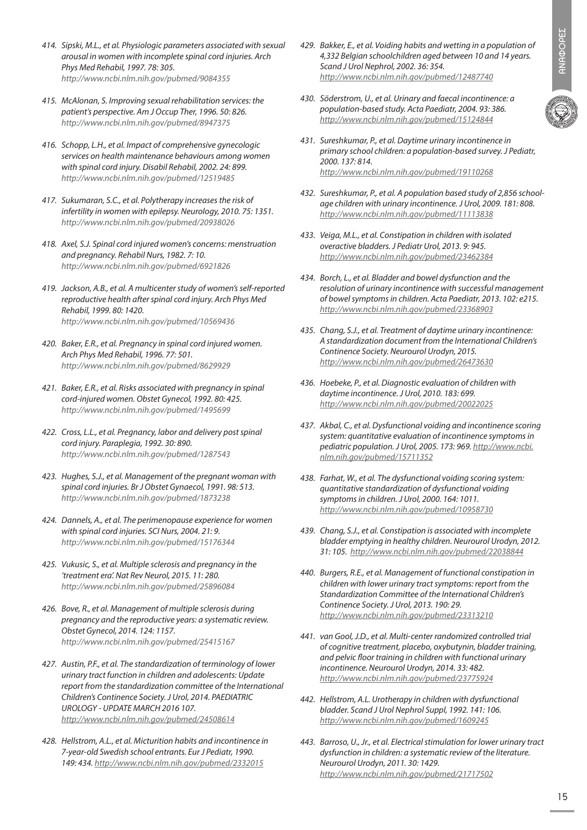- *414. Sipski, M.L., et al. Physiologic parameters associated with sexual arousal in women with incomplete spinal cord injuries. Arch Phys Med Rehabil, 1997. 78: 305. http://www.ncbi.nlm.nih.gov/pubmed/9084355*
- *415. McAlonan, S. Improving sexual rehabilitation services: the patient's perspective. Am J Occup Ther, 1996. 50: 826. http://www.ncbi.nlm.nih.gov/pubmed/8947375*
- *416. Schopp, L.H., et al. Impact of comprehensive gynecologic services on health maintenance behaviours among women with spinal cord injury. Disabil Rehabil, 2002. 24: 899. http://www.ncbi.nlm.nih.gov/pubmed/12519485*
- *417. Sukumaran, S.C., et al. Polytherapy increases the risk of infertility in women with epilepsy. Neurology, 2010. 75: 1351. http://www.ncbi.nlm.nih.gov/pubmed/20938026*
- *418. Axel, S.J. Spinal cord injured women's concerns: menstruation and pregnancy. Rehabil Nurs, 1982. 7: 10. http://www.ncbi.nlm.nih.gov/pubmed/6921826*
- *419. Jackson, A.B., et al. A multicenter study of women's self-reported reproductive health after spinal cord injury. Arch Phys Med Rehabil, 1999. 80: 1420. http://www.ncbi.nlm.nih.gov/pubmed/10569436*
- *420. Baker, E.R., et al. Pregnancy in spinal cord injured women. Arch Phys Med Rehabil, 1996. 77: 501. http://www.ncbi.nlm.nih.gov/pubmed/8629929*
- *421. Baker, E.R., et al. Risks associated with pregnancy in spinal cord-injured women. Obstet Gynecol, 1992. 80: 425. http://www.ncbi.nlm.nih.gov/pubmed/1495699*
- *422. Cross, L.L., et al. Pregnancy, labor and delivery post spinal cord injury. Paraplegia, 1992. 30: 890. http://www.ncbi.nlm.nih.gov/pubmed/1287543*
- *423. Hughes, S.J., et al. Management of the pregnant woman with spinal cord injuries. Br J Obstet Gynaecol, 1991. 98: 513. http://www.ncbi.nlm.nih.gov/pubmed/1873238*
- *424. Dannels, A., et al. The perimenopause experience for women with spinal cord injuries. SCI Nurs, 2004. 21: 9. http://www.ncbi.nlm.nih.gov/pubmed/15176344*
- *425. Vukusic, S., et al. Multiple sclerosis and pregnancy in the 'treatment era'. Nat Rev Neurol, 2015. 11: 280. http://www.ncbi.nlm.nih.gov/pubmed/25896084*
- *426. Bove, R., et al. Management of multiple sclerosis during pregnancy and the reproductive years: a systematic review. Obstet Gynecol, 2014. 124: 1157. http://www.ncbi.nlm.nih.gov/pubmed/25415167*
- *427. Austin, P.F., et al. The standardization of terminology of lower urinary tract function in children and adolescents: Update report from the standardization committee of the International Children's Continence Society. J Urol, 2014. PAEDIATRIC UROLOGY - UPDATE MARCH 2016 107. http://www.ncbi.nlm.nih.gov/pubmed/24508614*
- *428. Hellstrom, A.L., et al. Micturition habits and incontinence in 7-year-old Swedish school entrants. Eur J Pediatr, 1990. 149: 434. http://www.ncbi.nlm.nih.gov/pubmed/2332015*
- *429. Bakker, E., et al. Voiding habits and wetting in a population of 4,332 Belgian schoolchildren aged between 10 and 14 years. Scand J Urol Nephrol, 2002. 36: 354. http://www.ncbi.nlm.nih.gov/pubmed/12487740*
- *430. Söderstrom, U., et al. Urinary and faecal incontinence: a population-based study. Acta Paediatr, 2004. 93: 386. http://www.ncbi.nlm.nih.gov/pubmed/15124844*
- *431. Sureshkumar, P., et al. Daytime urinary incontinence in primary school children: a population-based survey. J Pediatr, 2000. 137: 814. http://www.ncbi.nlm.nih.gov/pubmed/19110268*
- *432. Sureshkumar, P., et al. A population based study of 2,856 schoolage children with urinary incontinence. J Urol, 2009. 181: 808. http://www.ncbi.nlm.nih.gov/pubmed/11113838*
- *433. Veiga, M.L., et al. Constipation in children with isolated overactive bladders. J Pediatr Urol, 2013. 9: 945. http://www.ncbi.nlm.nih.gov/pubmed/23462384*
- *434. Borch, L., et al. Bladder and bowel dysfunction and the resolution of urinary incontinence with successful management of bowel symptoms in children. Acta Paediatr, 2013. 102: e215. http://www.ncbi.nlm.nih.gov/pubmed/23368903*
- *435. Chang, S.J., et al. Treatment of daytime urinary incontinence: A standardization document from the International Children's Continence Society. Neurourol Urodyn, 2015. http://www.ncbi.nlm.nih.gov/pubmed/26473630*
- *436. Hoebeke, P., et al. Diagnostic evaluation of children with daytime incontinence. J Urol, 2010. 183: 699. http://www.ncbi.nlm.nih.gov/pubmed/20022025*
- *437. Akbal, C., et al. Dysfunctional voiding and incontinence scoring system: quantitative evaluation of incontinence symptoms in pediatric population. J Urol, 2005. 173: 969. http://www.ncbi. nlm.nih.gov/pubmed/15711352*
- *438. Farhat, W., et al. The dysfunctional voiding scoring system: quantitative standardization of dysfunctional voiding symptoms in children. J Urol, 2000. 164: 1011. http://www.ncbi.nlm.nih.gov/pubmed/10958730*
- *439. Chang, S.J., et al. Constipation is associated with incomplete bladder emptying in healthy children. Neurourol Urodyn, 2012. 31: 105. http://www.ncbi.nlm.nih.gov/pubmed/22038844*
- *440. Burgers, R.E., et al. Management of functional constipation in children with lower urinary tract symptoms: report from the Standardization Committee of the International Children's Continence Society. J Urol, 2013. 190: 29. http://www.ncbi.nlm.nih.gov/pubmed/23313210*
- *441. van Gool, J.D., et al. Multi-center randomized controlled trial of cognitive treatment, placebo, oxybutynin, bladder training, and pelvic floor training in children with functional urinary incontinence. Neurourol Urodyn, 2014. 33: 482. http://www.ncbi.nlm.nih.gov/pubmed/23775924*
- *442. Hellstrom, A.L. Urotherapy in children with dysfunctional bladder. Scand J Urol Nephrol Suppl, 1992. 141: 106. http://www.ncbi.nlm.nih.gov/pubmed/1609245*
- *443. Barroso, U., Jr., et al. Electrical stimulation for lower urinary tract dysfunction in children: a systematic review of the literature. Neurourol Urodyn, 2011. 30: 1429. http://www.ncbi.nlm.nih.gov/pubmed/21717502*